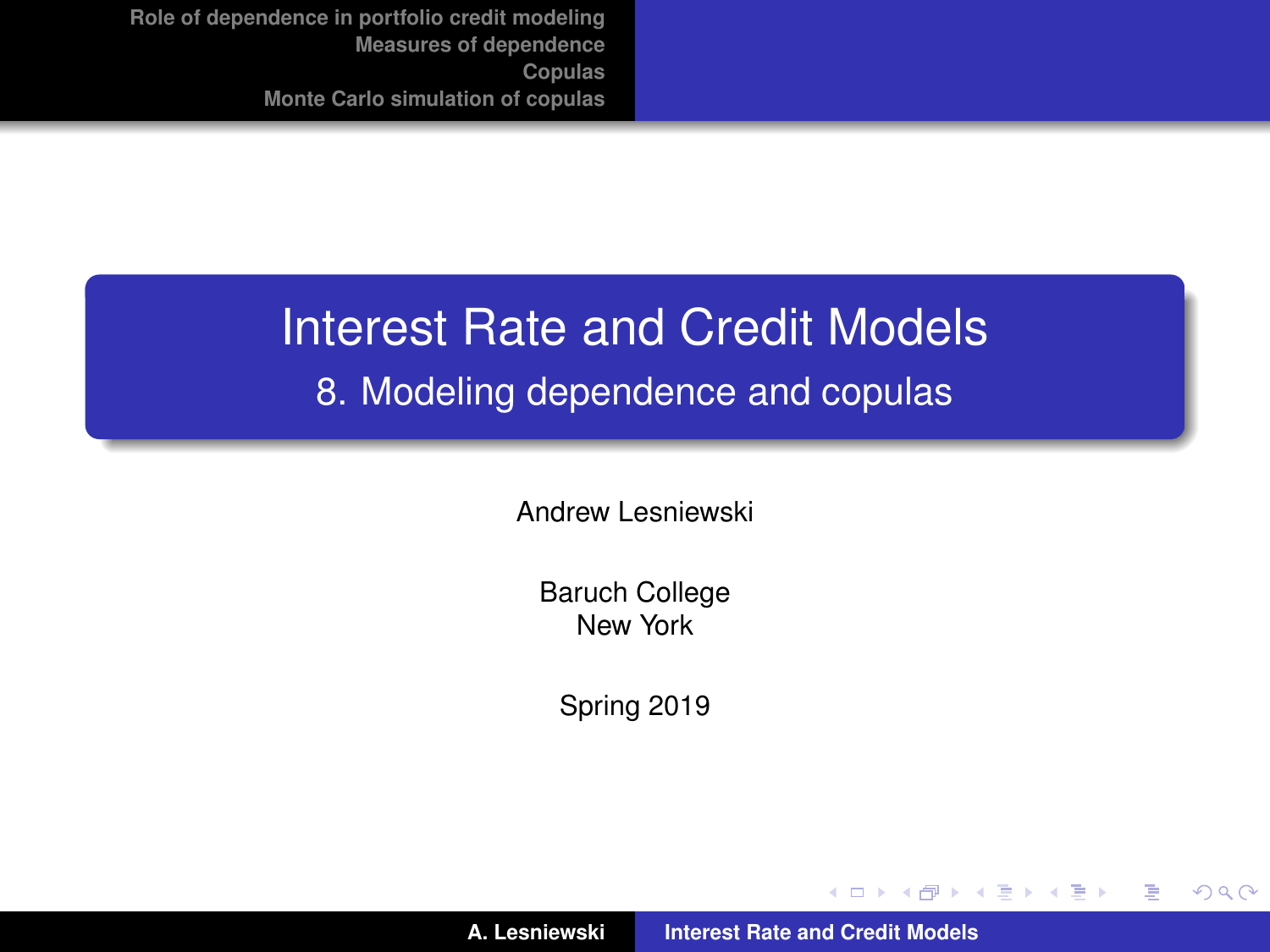#### Interest Rate and Credit Models

#### 8. Modeling dependence and copulas

Andrew Lesniewski

Baruch College New York

Spring 2019

**A. Lesniewski [Interest Rate and Credit Models](#page-36-0)**

(ロトス個) (運) (運)

<span id="page-0-0"></span> $299$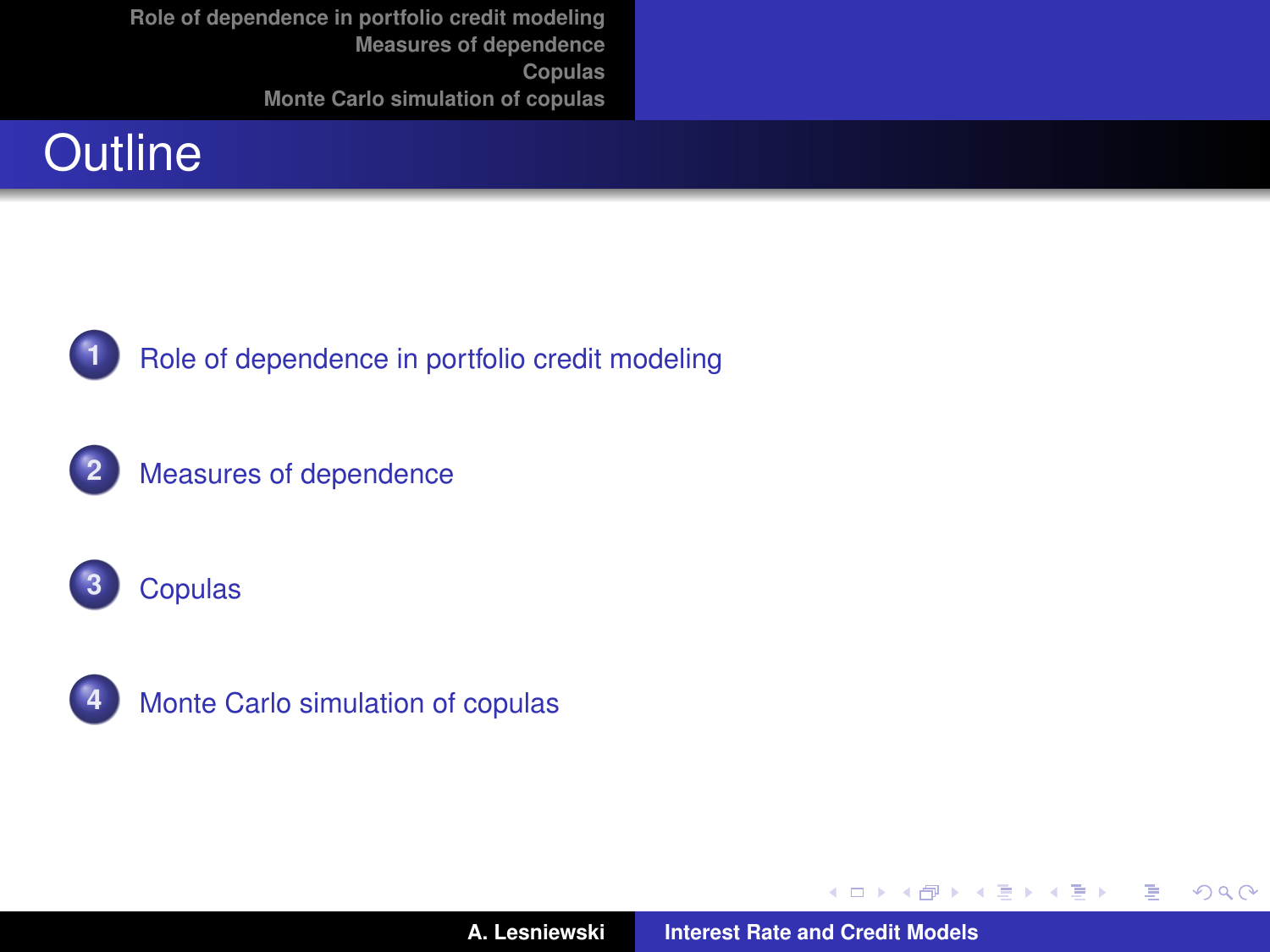## **Outline**



**1** [Role of dependence in portfolio credit modeling](#page-2-0)









**A. Lesniewski [Interest Rate and Credit Models](#page-0-0)**

**←ロト ←何ト** 

 $\mathcal{A} \xrightarrow{\sim} \mathcal{B} \rightarrow \mathcal{A} \xrightarrow{\sim} \mathcal{B} \rightarrow$ 

 $299$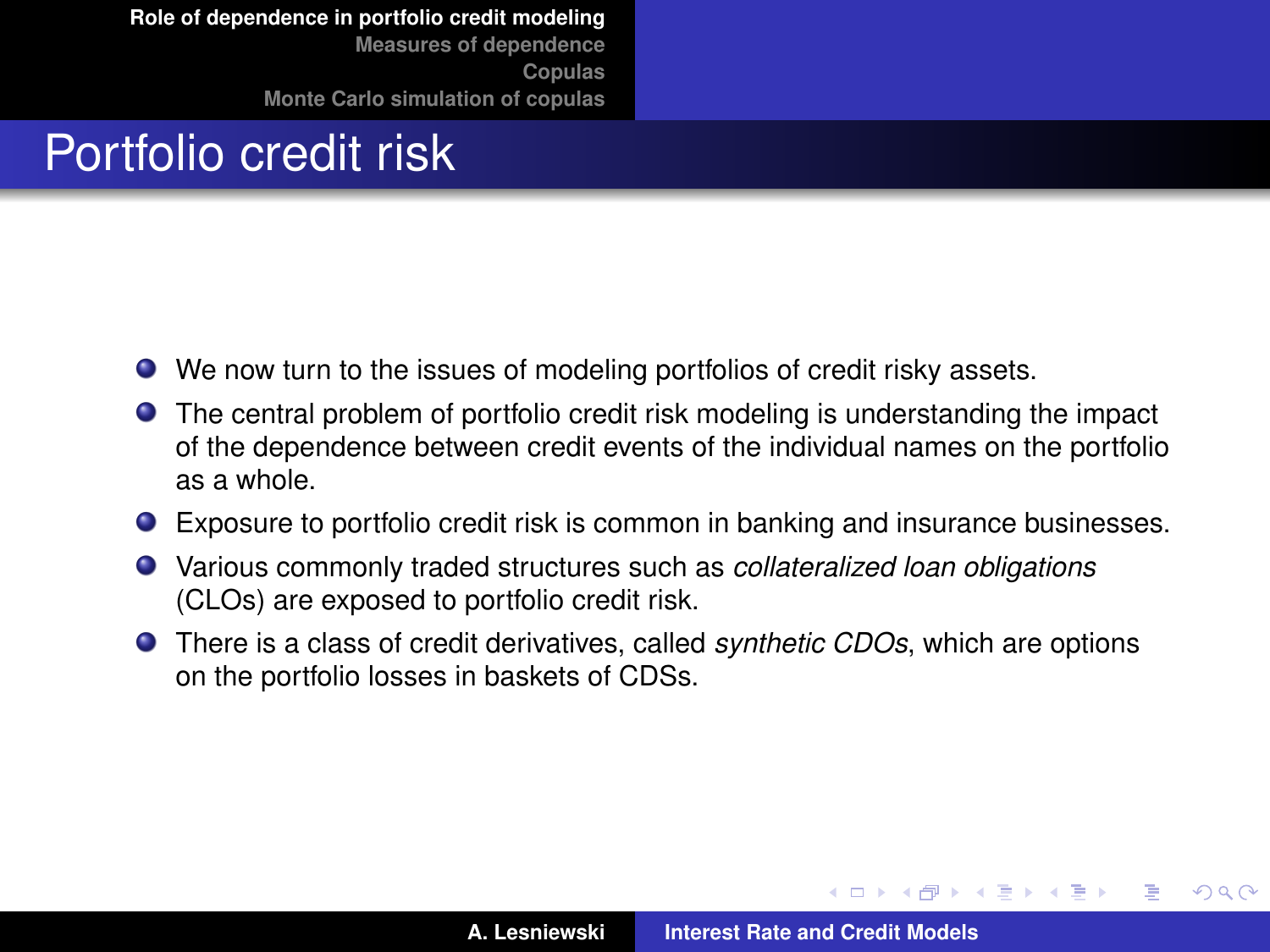### Portfolio credit risk

- We now turn to the issues of modeling portfolios of credit risky assets.
- The central problem of portfolio credit risk modeling is understanding the impact of the dependence between credit events of the individual names on the portfolio as a whole.
- Exposure to portfolio credit risk is common in banking and insurance businesses.
- Various commonly traded structures such as *collateralized loan obligations* (CLOs) are exposed to portfolio credit risk.
- There is a class of credit derivatives, called *synthetic CDOs*, which are options on the portfolio losses in baskets of CDSs.

 $QQ$ 

<span id="page-2-0"></span>Þ

 $\sqrt{m}$   $\rightarrow$   $\sqrt{m}$   $\rightarrow$   $\sqrt{m}$   $\rightarrow$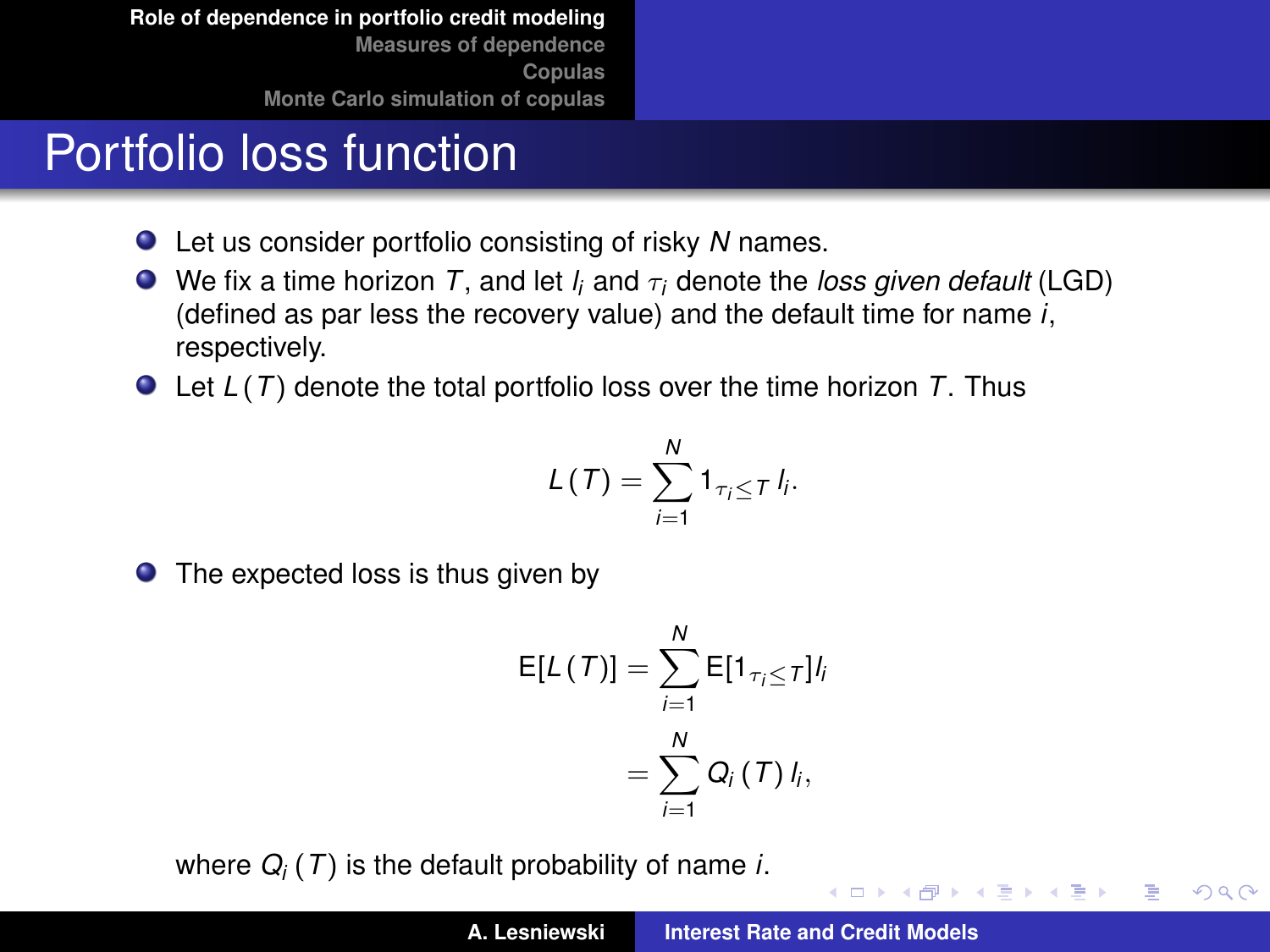## Portfolio loss function

- Let us consider portfolio consisting of risky *N* names.
- We fix a time horizon  $T$ , and let  $l_i$  and  $\tau_i$  denote the *loss given default* (LGD) (defined as par less the recovery value) and the default time for name *i*, respectively.
- Let *L* (*T*) denote the total portfolio loss over the time horizon *T*. Thus

$$
L(T)=\sum_{i=1}^N1_{\tau_i\leq T}I_i.
$$

● The expected loss is thus given by

$$
E[L(T)] = \sum_{i=1}^{N} E[1_{\tau_i \le T}] l_i
$$

$$
= \sum_{i=1}^{N} Q_i(T) l_i,
$$

where *Q<sup>i</sup>* (*T*) is the default probability of name *i*.

イロメ イ部メ イヨメ イヨメー

 $299$ 

Þ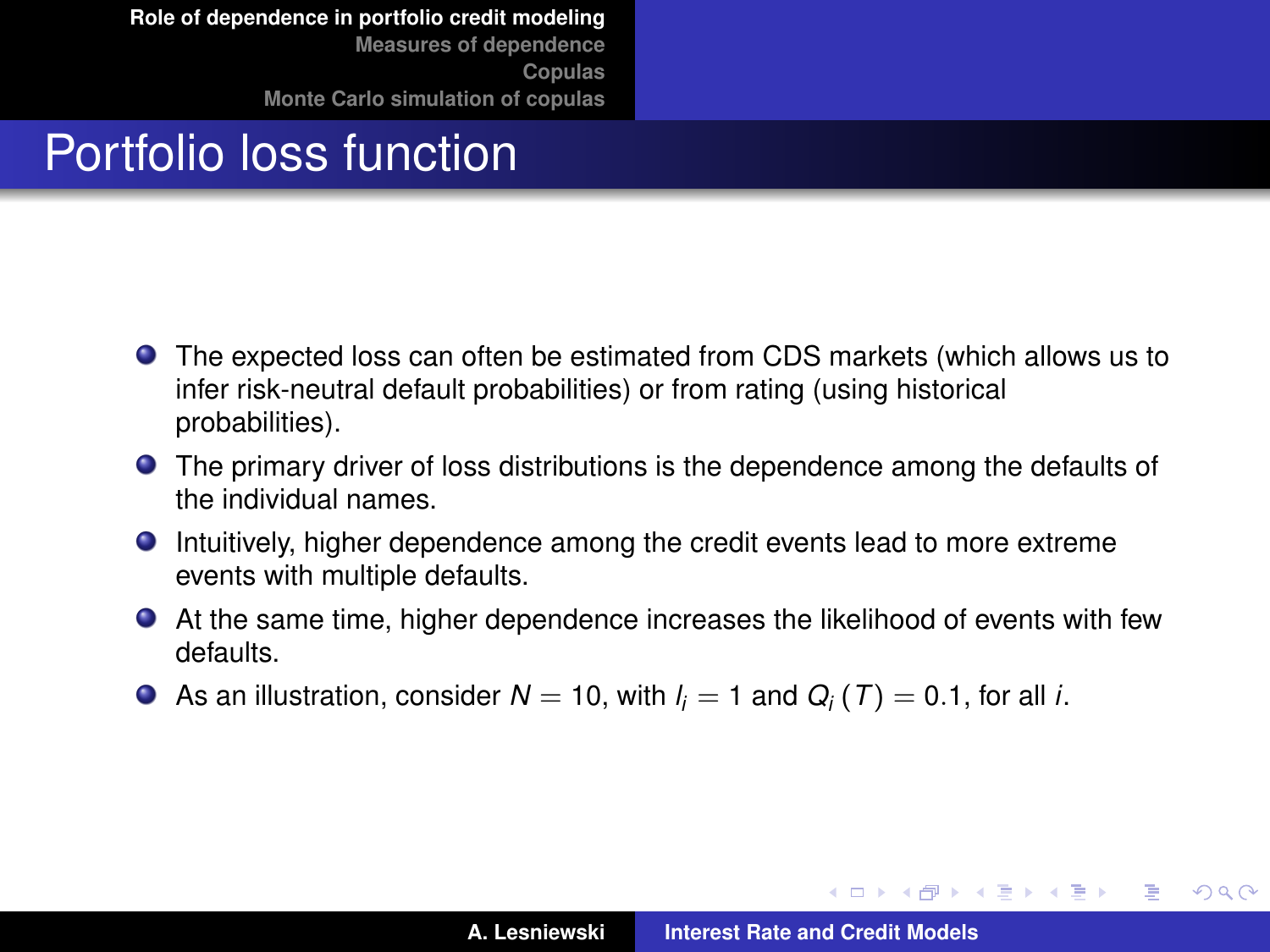# Portfolio loss function

- The expected loss can often be estimated from CDS markets (which allows us to infer risk-neutral default probabilities) or from rating (using historical probabilities).
- **The primary driver of loss distributions is the dependence among the defaults of** the individual names.
- Intuitively, higher dependence among the credit events lead to more extreme events with multiple defaults.
- At the same time, higher dependence increases the likelihood of events with few defaults.
- As an illustration, consider  $N=$  10, with  $l_i=$  1 and  $Q_i$  (  $\mathcal{T})=$  0.1, for all *i*.

イロメ イ部メ イヨメ イヨメー

 $QQ$ 

Þ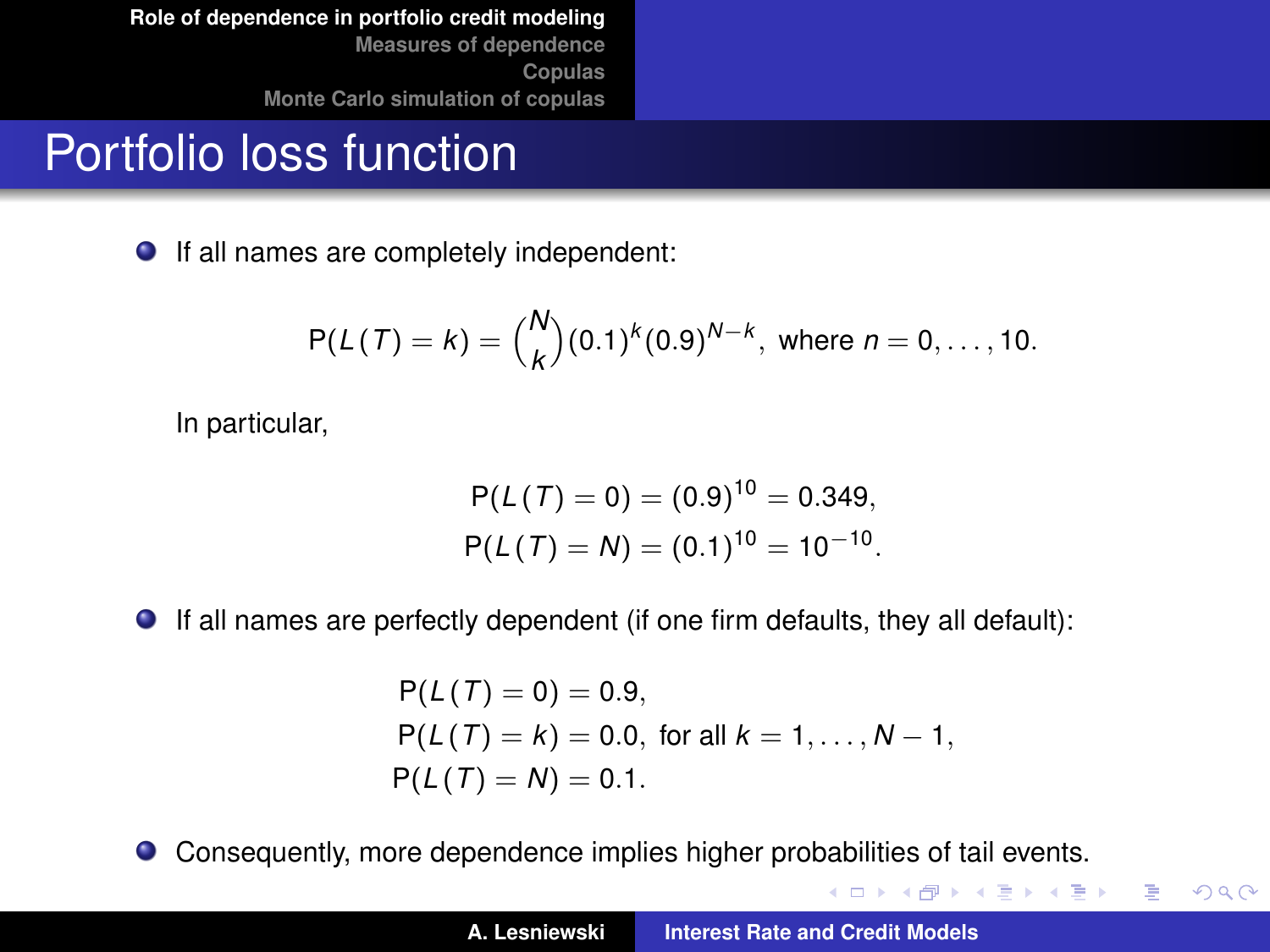#### Portfolio loss function

● If all names are completely independent:

$$
P(L(T) = k) = {N \choose k} (0.1)^k (0.9)^{N-k}, \text{ where } n = 0, ..., 10.
$$

In particular,

$$
P(L(T) = 0) = (0.9)^{10} = 0.349,
$$
  
 
$$
P(L(T) = N) = (0.1)^{10} = 10^{-10}.
$$

If all names are perfectly dependent (if one firm defaults, they all default):

$$
P(L(T) = 0) = 0.9,
$$
  
 
$$
P(L(T) = k) = 0.0, \text{ for all } k = 1, ..., N - 1,
$$
  
 
$$
P(L(T) = N) = 0.1.
$$

 $\bullet$ Consequently, more dependence implies higher probabilities of tail events.

イロメ イ部メ イ君メ イ君メー

重。  $299$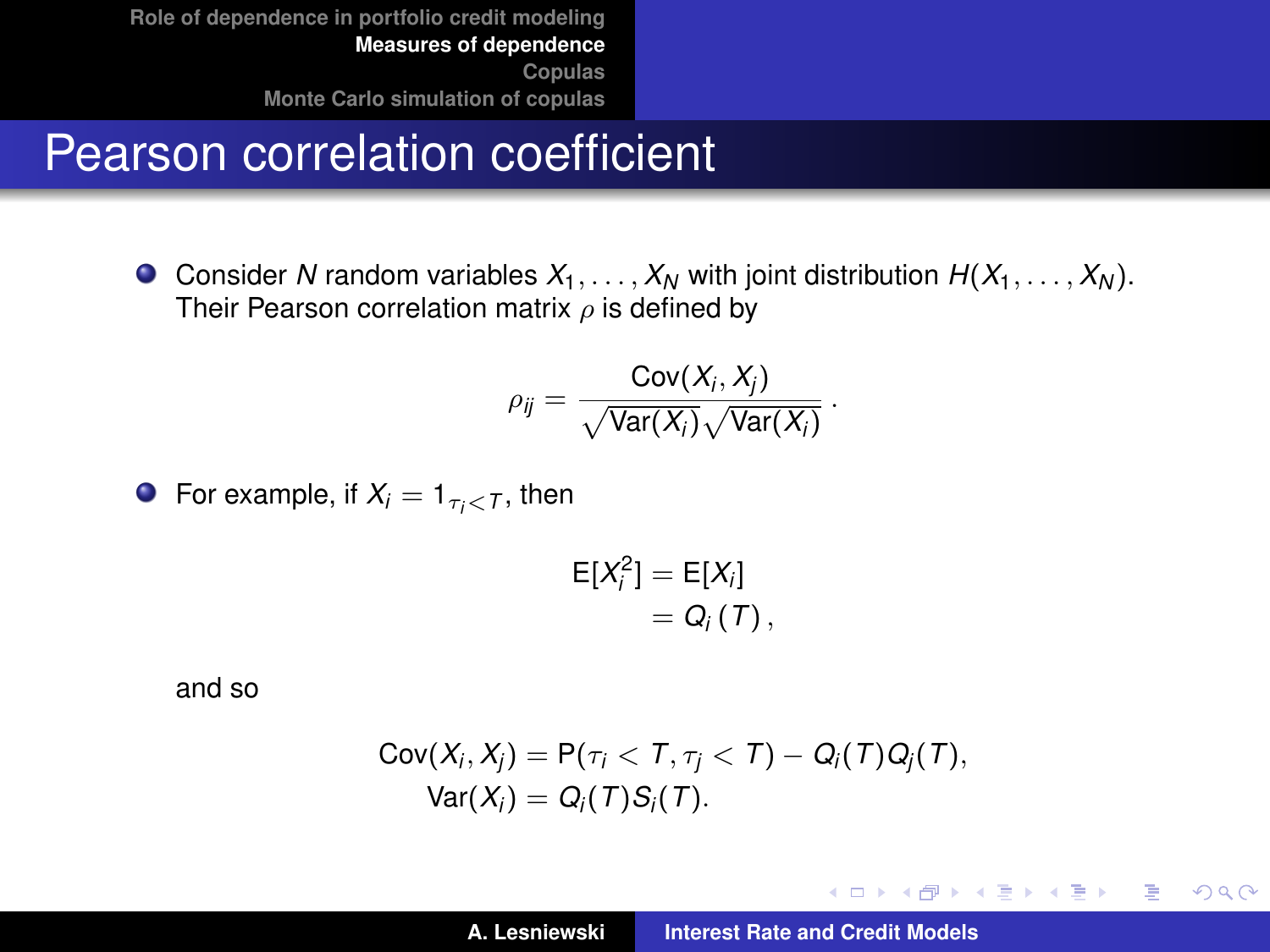#### Pearson correlation coefficient

**O** Consider *N* random variables  $X_1, \ldots, X_N$  with joint distribution  $H(X_1, \ldots, X_N)$ . Their Pearson correlation matrix  $\rho$  is defined by

$$
\rho_{ij} = \frac{\text{Cov}(X_i, X_j)}{\sqrt{\text{Var}(X_i)}\sqrt{\text{Var}(X_i)}}.
$$

**•** For example, if  $X_i = 1_{\tau_i < T}$ , then

$$
\mathsf{E}[X_i^2] = \mathsf{E}[X_i] \\
= Q_i(T),
$$

and so

$$
Cov(X_i, X_j) = P(\tau_i < T, \tau_j < T) - Q_i(T)Q_j(T),
$$
\n
$$
Var(X_i) = Q_i(T)S_i(T).
$$

イロメ イ部メ イ君メ イ君メー

<span id="page-6-0"></span> $299$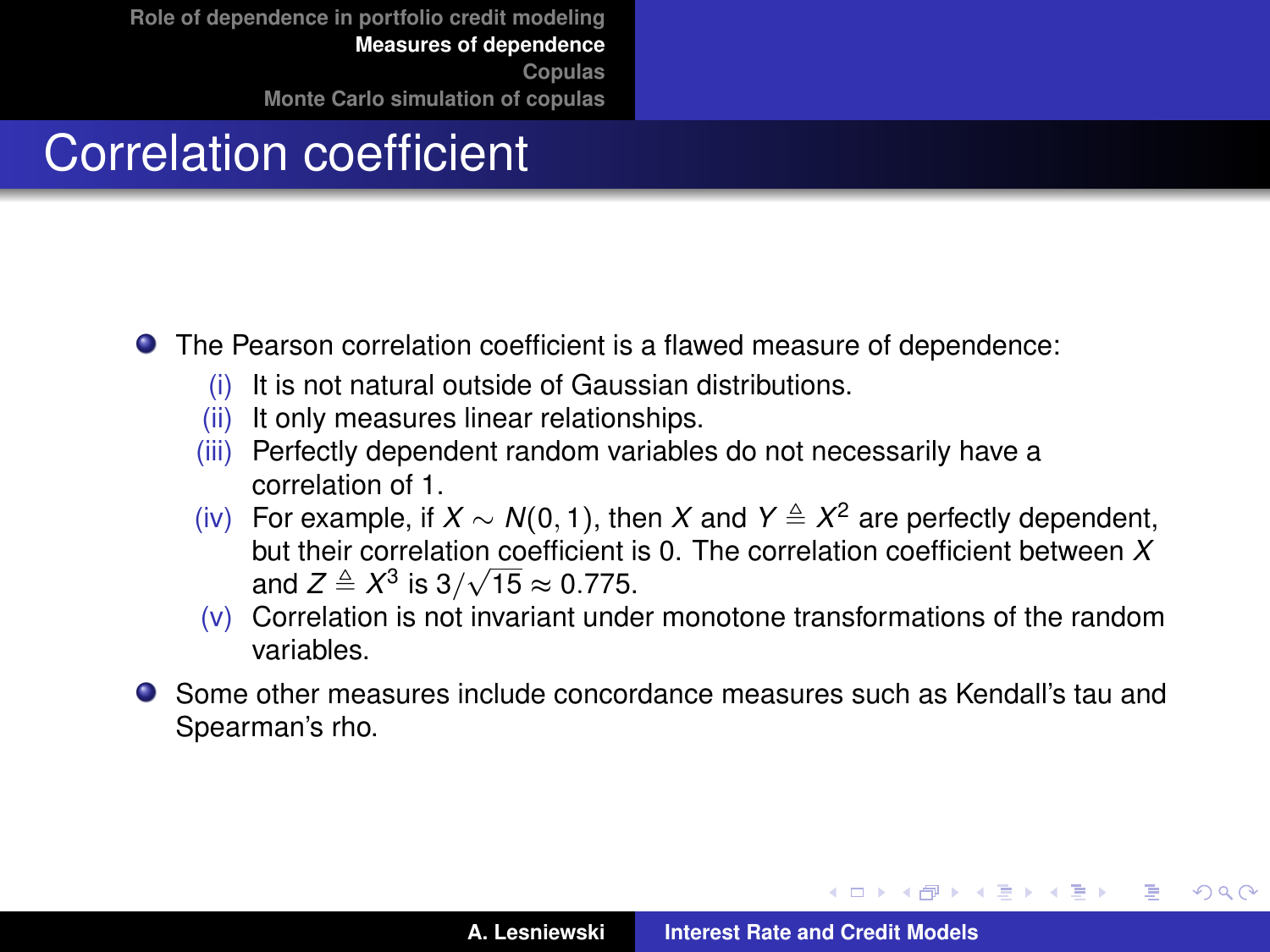# Correlation coefficient

- The Pearson correlation coefficient is a flawed measure of dependence:
	- (i) It is not natural outside of Gaussian distributions.
	- (ii) It only measures linear relationships.
	- (iii) Perfectly dependent random variables do not necessarily have a correlation of 1.
	- (iv) For example, if  $X \sim N(0, 1)$ , then X and  $Y \triangleq X^2$  are perfectly dependent, but their correlation coefficient is 0. The correlation coefficient between *X*  $\frac{1}{2}$  and  $Z \triangleq X^3$  is  $3/\sqrt{15} \approx 0.775$ .
	- (v) Correlation is not invariant under monotone transformations of the random variables.
- Some other measures include concordance measures such as Kendall's tau and Spearman's rho.

**K ロ ト K 母 ト K ヨ ト K ヨ ト** 

 $QQQ$ Þ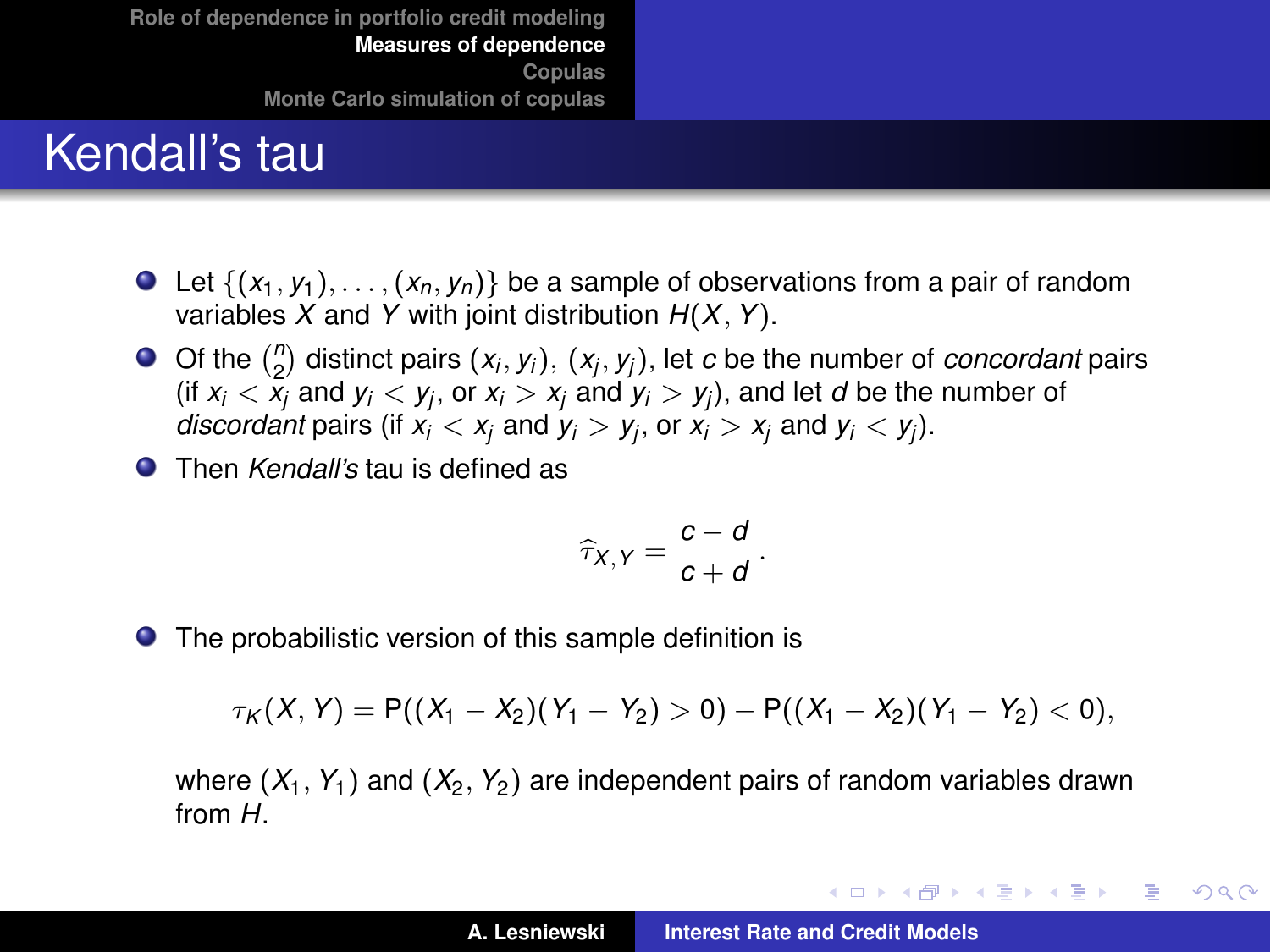#### Kendall's tau

- $\bullet$  Let  $\{(x_1, y_1), \ldots, (x_n, y_n)\}\$ be a sample of observations from a pair of random variables *X* and *Y* with joint distribution *H*(*X*, *Y*).
- Of the  $\binom{n}{2}$  distinct pairs  $(x_i, y_i)$ ,  $(x_j, y_j)$ , let *c* be the number of *concordant* pairs (if  $x_i < x_j$  and  $y_i < y_j$ , or  $x_i > x_j$  and  $y_i > y_j$ ), and let *d* be the number of *discordant* pairs (if  $x_i < x_j$  and  $y_i > y_j$ , or  $x_i > x_j$  and  $y_i < y_j$ ).
- Then *Kendall's* tau is defined as

$$
\widehat{\tau}_{X,Y}=\frac{c-d}{c+d}.
$$

● The probabilistic version of this sample definition is

$$
\tau_K(X,Y)=P((X_1-X_2)(Y_1-Y_2)>0)-P((X_1-X_2)(Y_1-Y_2)<0),
$$

where  $(X_1, Y_1)$  and  $(X_2, Y_2)$  are independent pairs of random variables drawn from *H*.

イロメ イ部メ イヨメ イヨメー

Þ  $QQQ$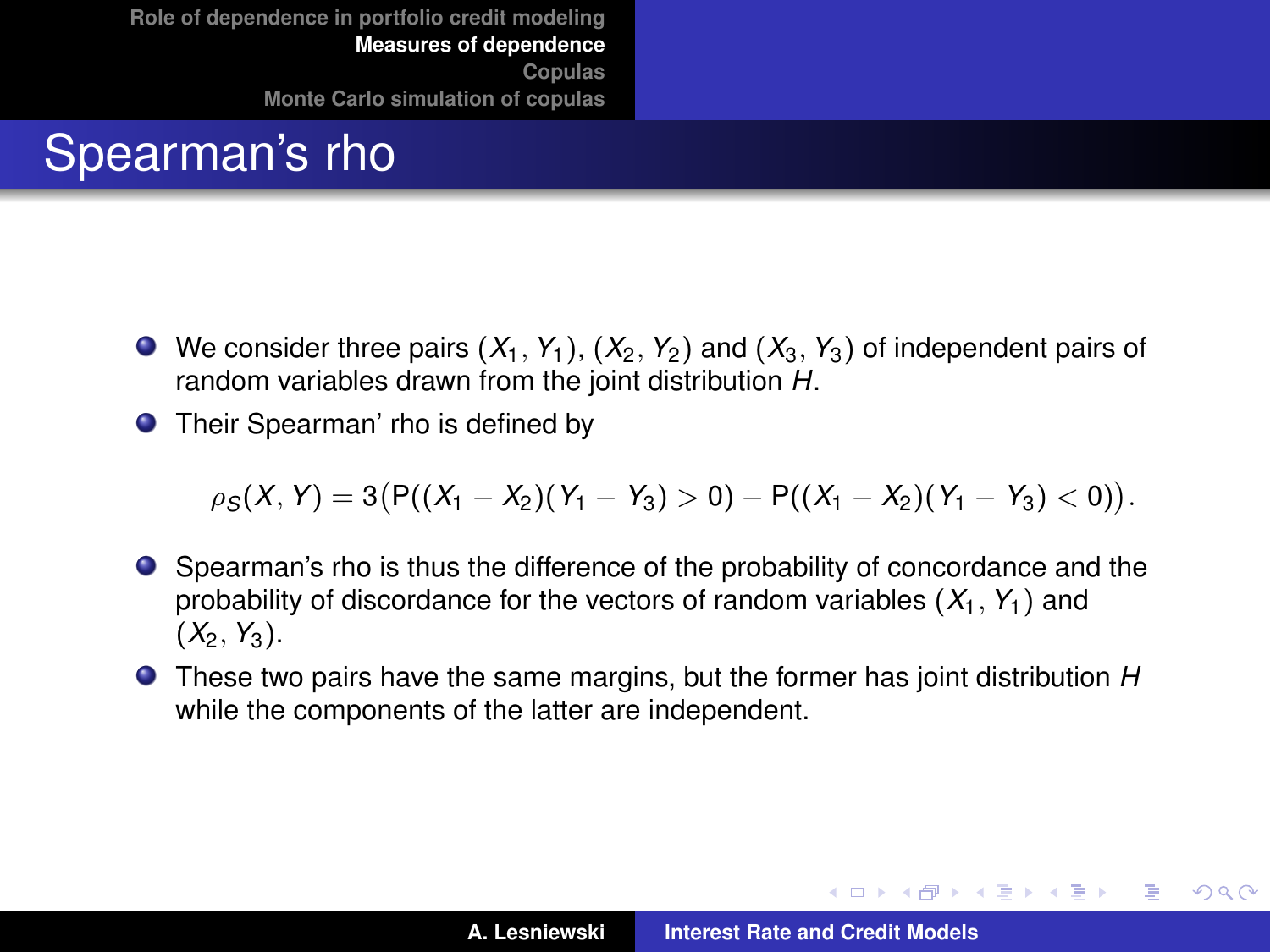# Spearman's rho

- $\bullet$  We consider three pairs  $(X_1, Y_1)$ ,  $(X_2, Y_2)$  and  $(X_3, Y_3)$  of independent pairs of random variables drawn from the joint distribution *H*.
- **O** Their Spearman' rho is defined by

 $\rho_S(X, Y) = 3(P((X_1 - X_2)(Y_1 - Y_3) > 0) - P((X_1 - X_2)(Y_1 - Y_3) < 0)).$ 

- Spearman's rho is thus the difference of the probability of concordance and the probability of discordance for the vectors of random variables  $(X_1, Y_1)$  and  $(X_2, Y_3)$ .
- These two pairs have the same margins, but the former has joint distribution *H* while the components of the latter are independent.

イロメ イ部メ イ君メ イ君メー

造っ  $2Q$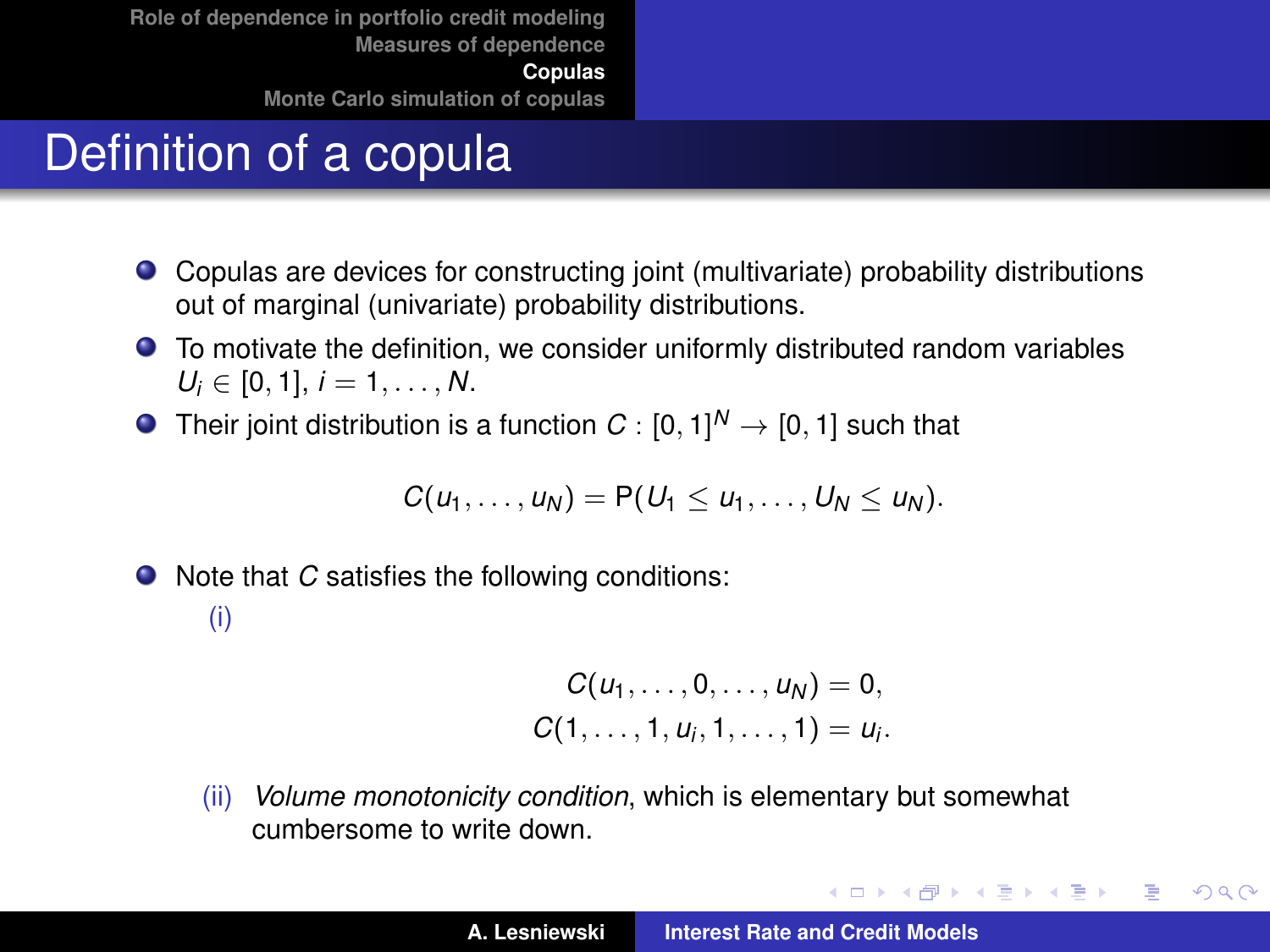# Definition of a copula

- Copulas are devices for constructing joint (multivariate) probability distributions out of marginal (univariate) probability distributions.
- To motivate the definition, we consider uniformly distributed random variables  $U_i \in [0, 1], i = 1, \ldots, N.$
- Their joint distribution is a function  $C:[0,1]^N \rightarrow [0,1]$  such that

$$
C(u_1,\ldots,u_N)=P(U_1\leq u_1,\ldots,U_N\leq u_N).
$$

● Note that *C* satisfies the following conditions:

#### (i)

$$
C(u_1, ..., 0, ..., u_N) = 0,C(1, ..., 1, u_i, 1, ..., 1) = u_i.
$$

(ii) *Volume monotonicity condition*, which is elementary but somewhat cumbersome to write down.

イロメ イ部メ イヨメ イヨメー

<span id="page-10-0"></span> $299$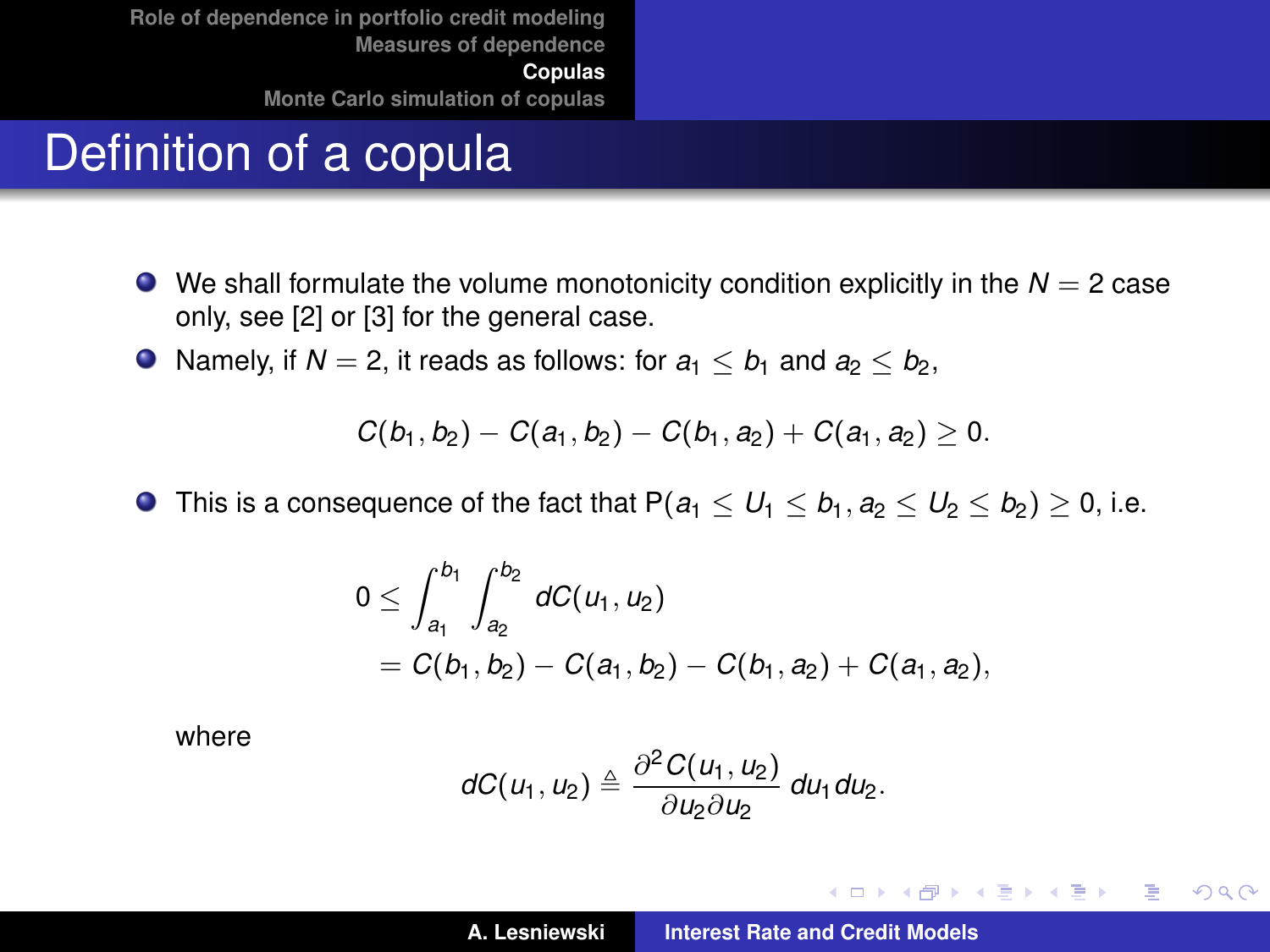# Definition of a copula

- $\bullet$  We shall formulate the volume monotonicity condition explicitly in the  $N = 2$  case only, see [\[2\]](#page-36-1) or [\[3\]](#page-36-2) for the general case.
- Namely, if  $N = 2$ , it reads as follows: for  $a_1 \leq b_1$  and  $a_2 \leq b_2$ ,

$$
C(b_1, b_2) - C(a_1, b_2) - C(b_1, a_2) + C(a_1, a_2) \geq 0.
$$

**O** This is a consequence of the fact that  $P(a_1 \leq U_1 \leq b_1, a_2 \leq U_2 \leq b_2) \geq 0$ , i.e.

$$
0 \leq \int_{a_1}^{b_1} \int_{a_2}^{b_2} dC(u_1, u_2)
$$
  
=  $C(b_1, b_2) - C(a_1, b_2) - C(b_1, a_2) + C(a_1, a_2),$ 

where

$$
dC(u_1, u_2) \triangleq \frac{\partial^2 C(u_1, u_2)}{\partial u_2 \partial u_2} du_1 du_2.
$$

イロトメ 御 トメ 君 トメ 君 トー

 $299$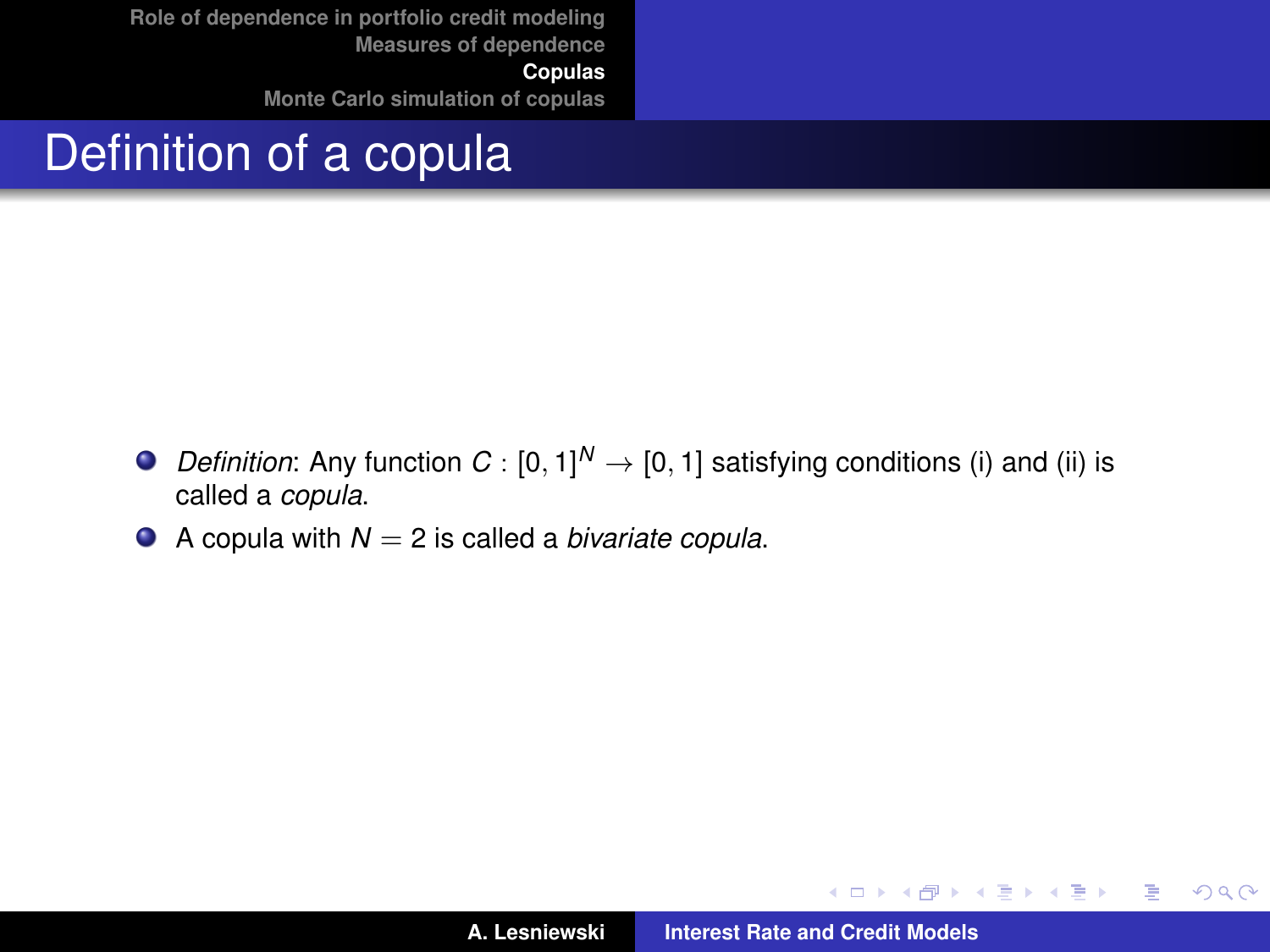# Definition of a copula

- *Definition*: Any function  $C : [0, 1]^N \rightarrow [0, 1]$  satisfying conditions (i) and (ii) is called a *copula*.
- $\bullet$  A copula with  $N = 2$  is called a *bivariate copula*.

イロメ イ部メ イヨメ イヨメー

 $299$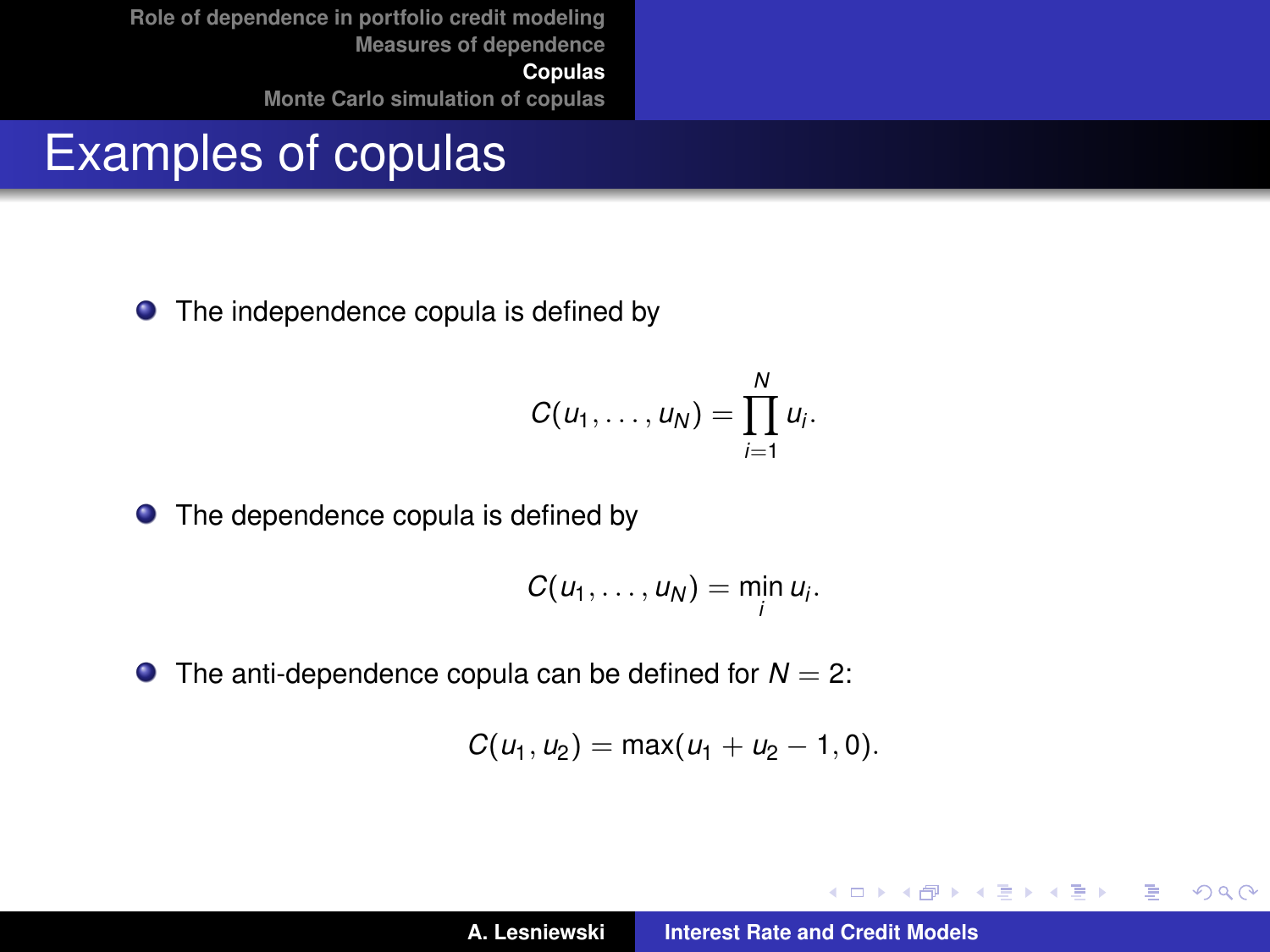#### Examples of copulas

• The independence copula is defined by

$$
C(u_1,\ldots,u_N)=\prod_{i=1}^N u_i.
$$

● The dependence copula is defined by

$$
C(u_1,\ldots,u_N)=\min_i u_i.
$$

 $\bullet$  The anti-dependence copula can be defined for  $N = 2$ :

$$
C(u_1, u_2) = \max(u_1 + u_2 - 1, 0).
$$

**←ロト ←何ト** 

→ 君をす者を

 $299$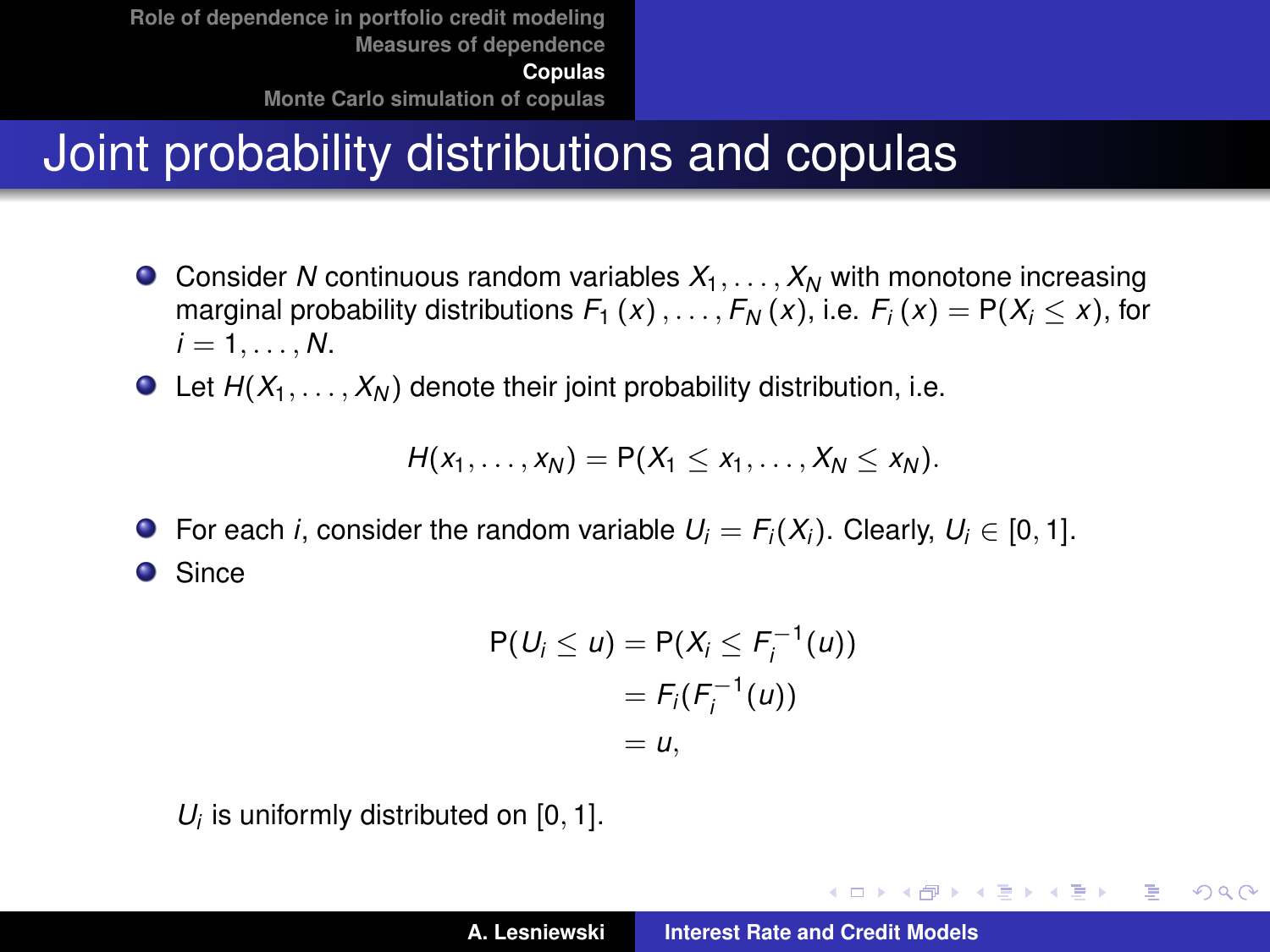# Joint probability distributions and copulas

- **O** Consider *N* continuous random variables  $X_1, \ldots, X_N$  with monotone increasing marginal probability distributions  $F_1(x), \ldots, F_N(x)$ , i.e.  $F_i(x) = P(X_i \le x)$ , for  $i = 1, \ldots, N$ .
- $\bullet$  Let  $H(X_1, \ldots, X_N)$  denote their joint probability distribution, i.e.

$$
H(x_1,\ldots,x_N)=P(X_1\leq x_1,\ldots,X_N\leq x_N).
$$

 $\bullet$ For each *i*, consider the random variable  $U_i = F_i(X_i)$ . Clearly,  $U_i \in [0, 1]$ . **O** Since

$$
P(Ui \le u) = P(Xi \le Fi-1(u))
$$
  
= F<sub>i</sub>(F<sub>i</sub><sup>-1</sup>(u))  
= u,

 $U_i$  is uniformly distributed on  $[0, 1]$ .

K ロ ⊁ K 伊 ⊁ K 君 ⊁ K 君 ⊁ …

重

 $298$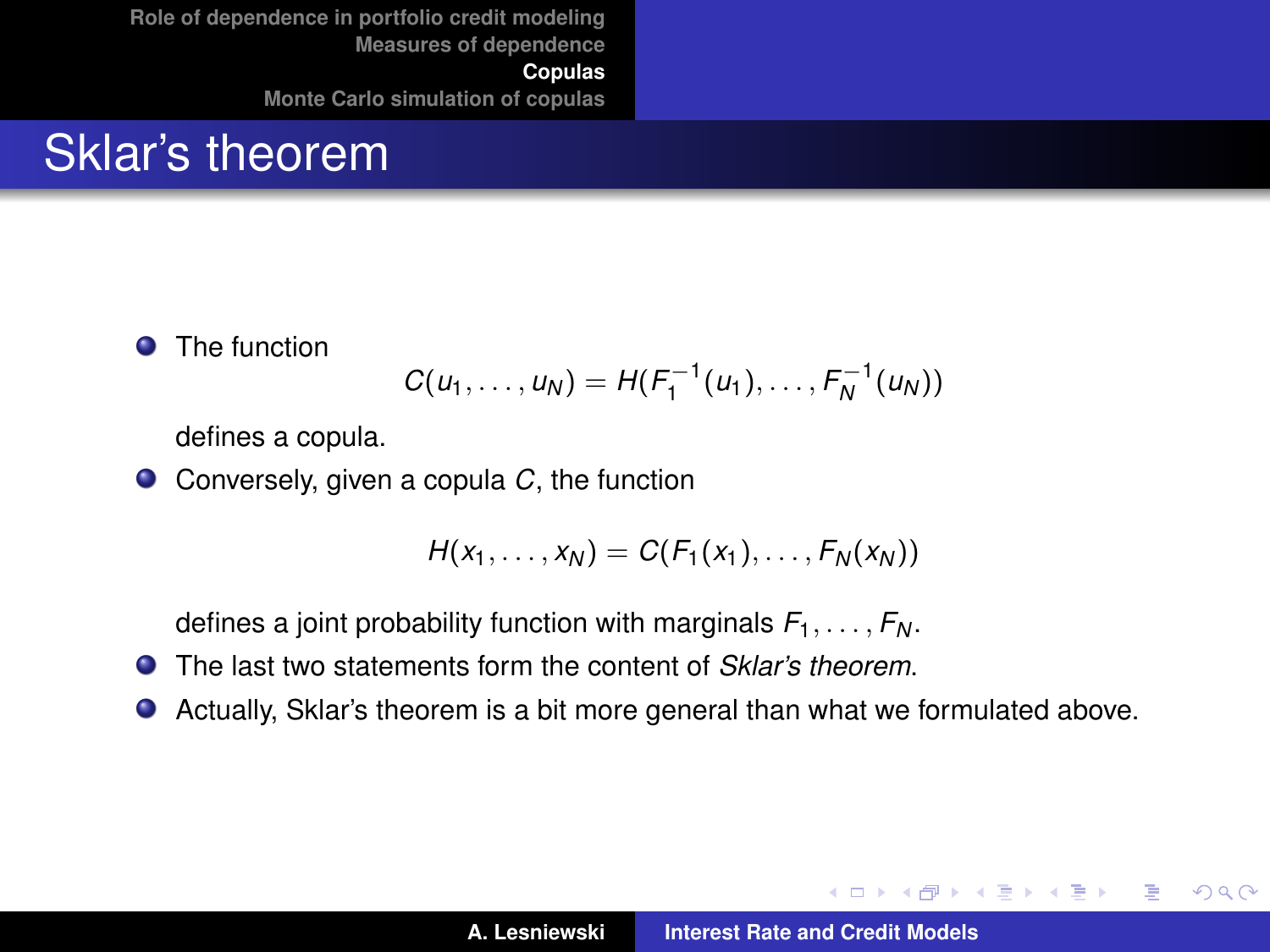#### Sklar's theorem

**O** The function

$$
C(u_1,\ldots,u_N)=H(F_1^{-1}(u_1),\ldots,F_N^{-1}(u_N))
$$

defines a copula.

● Conversely, given a copula *C*, the function

$$
H(x_1,\ldots,x_N)=C(F_1(x_1),\ldots,F_N(x_N))
$$

defines a joint probability function with marginals  $F_1, \ldots, F_N$ .

- $\bullet$ The last two statements form the content of *Sklar's theorem*.
- Actually, Sklar's theorem is a bit more general than what we formulated above.

イロメ イ部メ イヨメ イヨメー

 $299$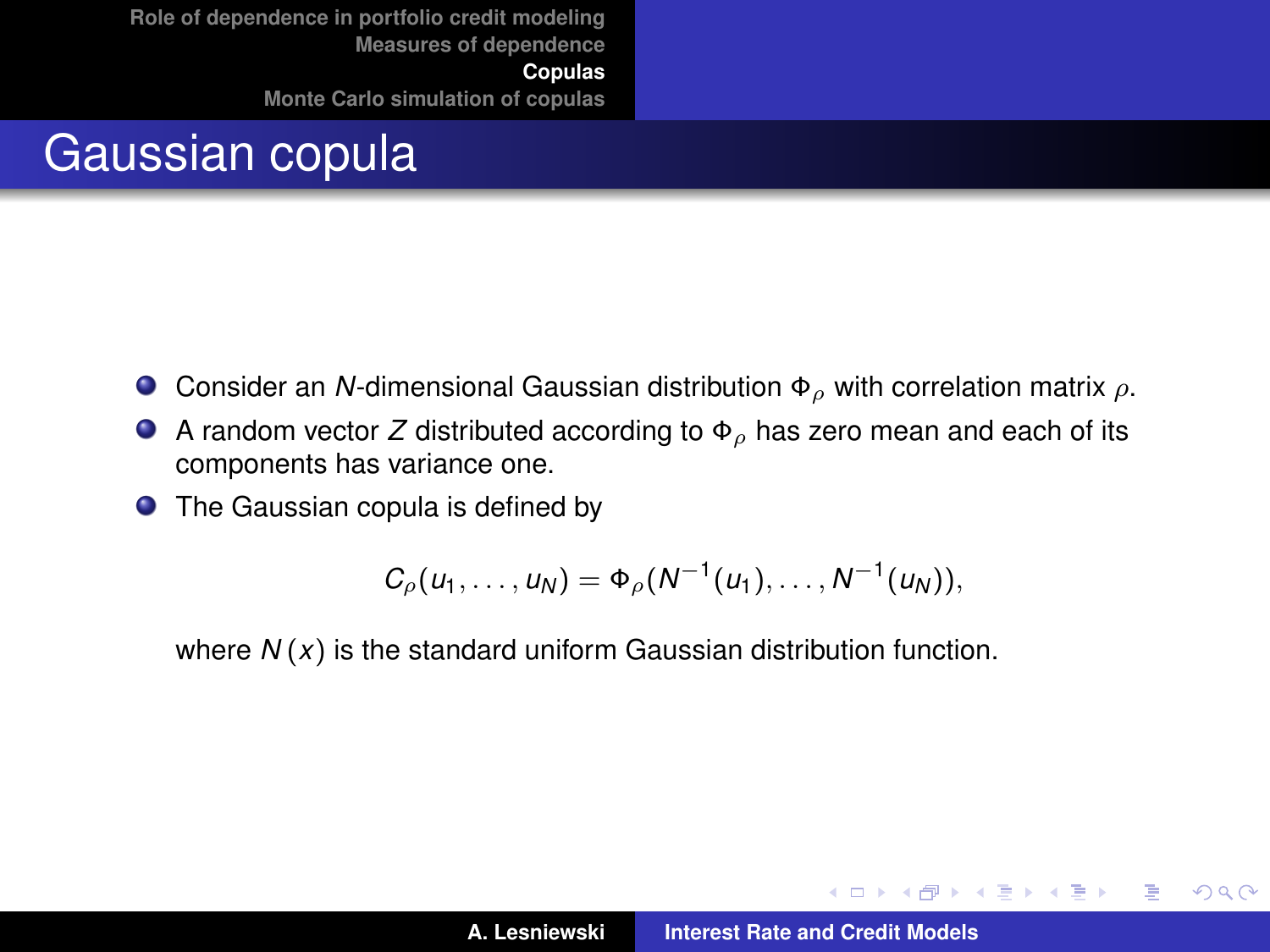## Gaussian copula

- Consider an *N*-dimensional Gaussian distribution  $\Phi_{\rho}$  with correlation matrix  $\rho$ .  $\bullet$
- A random vector *Z* distributed according to  $\Phi_{\rho}$  has zero mean and each of its components has variance one.
- The Gaussian copula is defined by

$$
C_{\rho}(u_1,\ldots,u_N)=\Phi_{\rho}(N^{-1}(u_1),\ldots,N^{-1}(u_N)),
$$

where *N* (*x*) is the standard uniform Gaussian distribution function.

K ロ ⊁ K 伊 ⊁ K 君 ⊁ K 君 ⊁ .

 $299$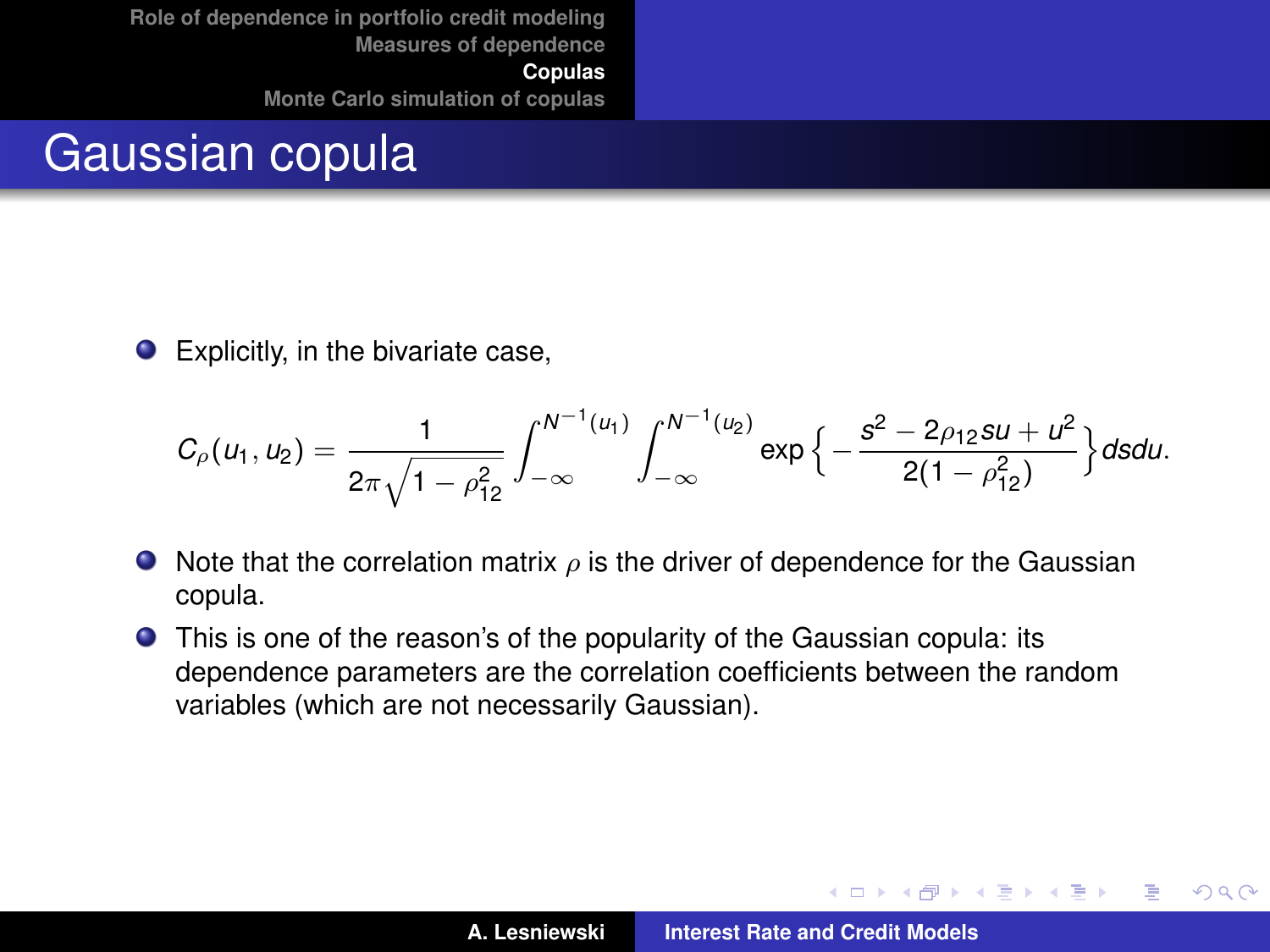#### Gaussian copula

 $\bullet$ Explicitly, in the bivariate case,

$$
C_{\rho}(u_1, u_2) = \frac{1}{2\pi\sqrt{1-\rho_{12}^2}} \int_{-\infty}^{N^{-1}(u_1)} \int_{-\infty}^{N^{-1}(u_2)} \exp\left\{-\frac{s^2 - 2\rho_{12}su + u^2}{2(1-\rho_{12}^2)}\right\} ds du.
$$

- $\bullet$  Note that the correlation matrix  $\rho$  is the driver of dependence for the Gaussian copula.
- This is one of the reason's of the popularity of the Gaussian copula: its dependence parameters are the correlation coefficients between the random variables (which are not necessarily Gaussian).

イロメ イ部メ イヨメ イヨメー

 $299$ 

Þ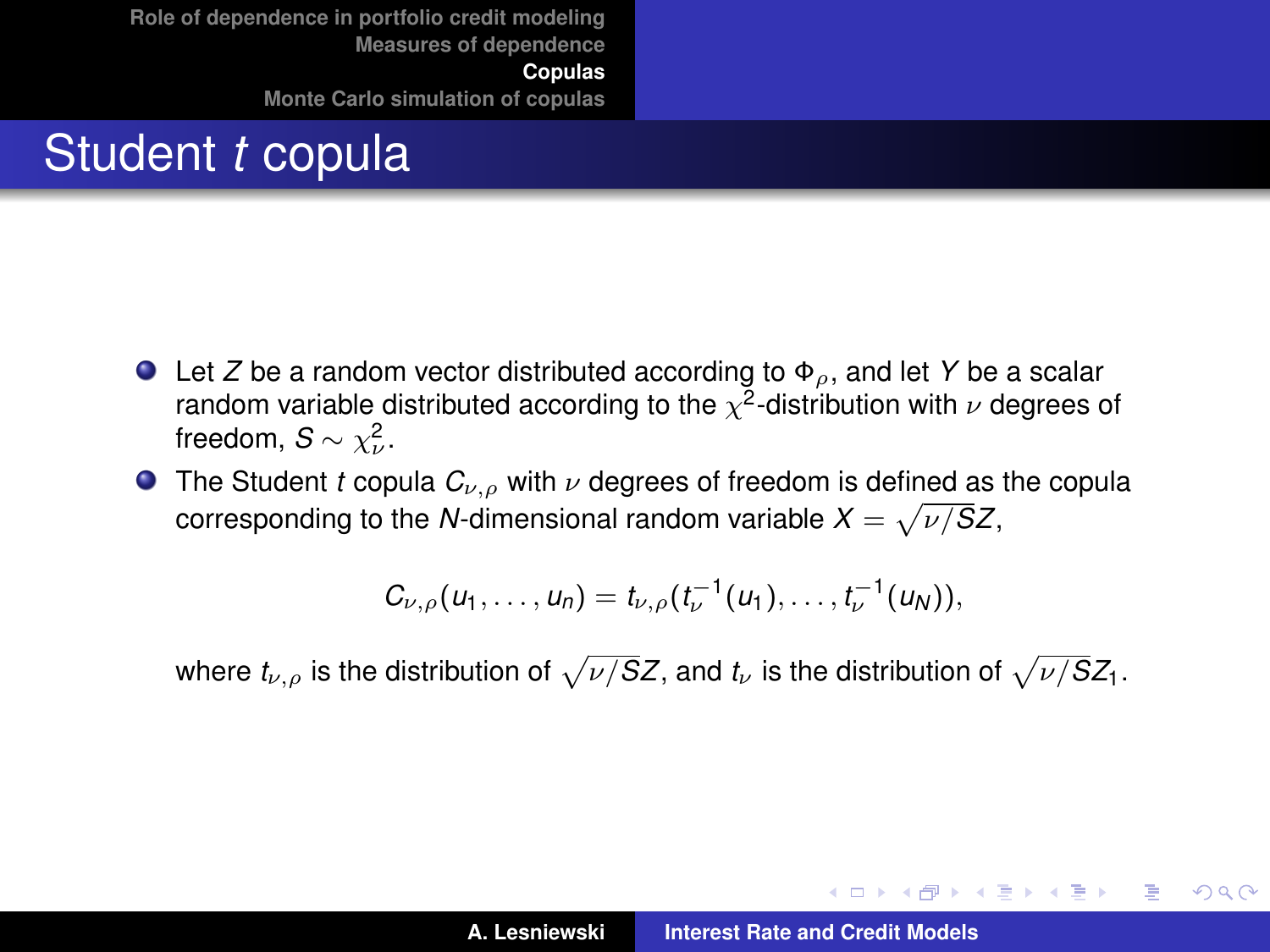# Student *t* copula

- Let *Z* be a random vector distributed according to Φρ, and let *Y* be a scalar random variable distributed according to the  $\chi^2$ -distribution with  $\nu$  degrees of freedom,  $S \sim \chi^2_{\nu}$ .
- **The Student** *t* **copula**  $C_{\nu,\rho}$  **with**  $\nu$  **degrees of freedom is defined as the copula** corresponding to the *N*-dimensional random variable  $X = \sqrt{\nu/SZ}$ ,

$$
C_{\nu,\rho}(u_1,\ldots,u_n)=t_{\nu,\rho}(t_{\nu}^{-1}(u_1),\ldots,t_{\nu}^{-1}(u_N)),
$$

where  $t_{\nu,\rho}$  is the distribution of  $\sqrt{\nu/S}Z,$  and  $t_{\nu}$  is the distribution of  $\sqrt{\nu/S}Z_1.$ 

イロメ イ部メ イ君メ イ君メー

 $2Q$ Þ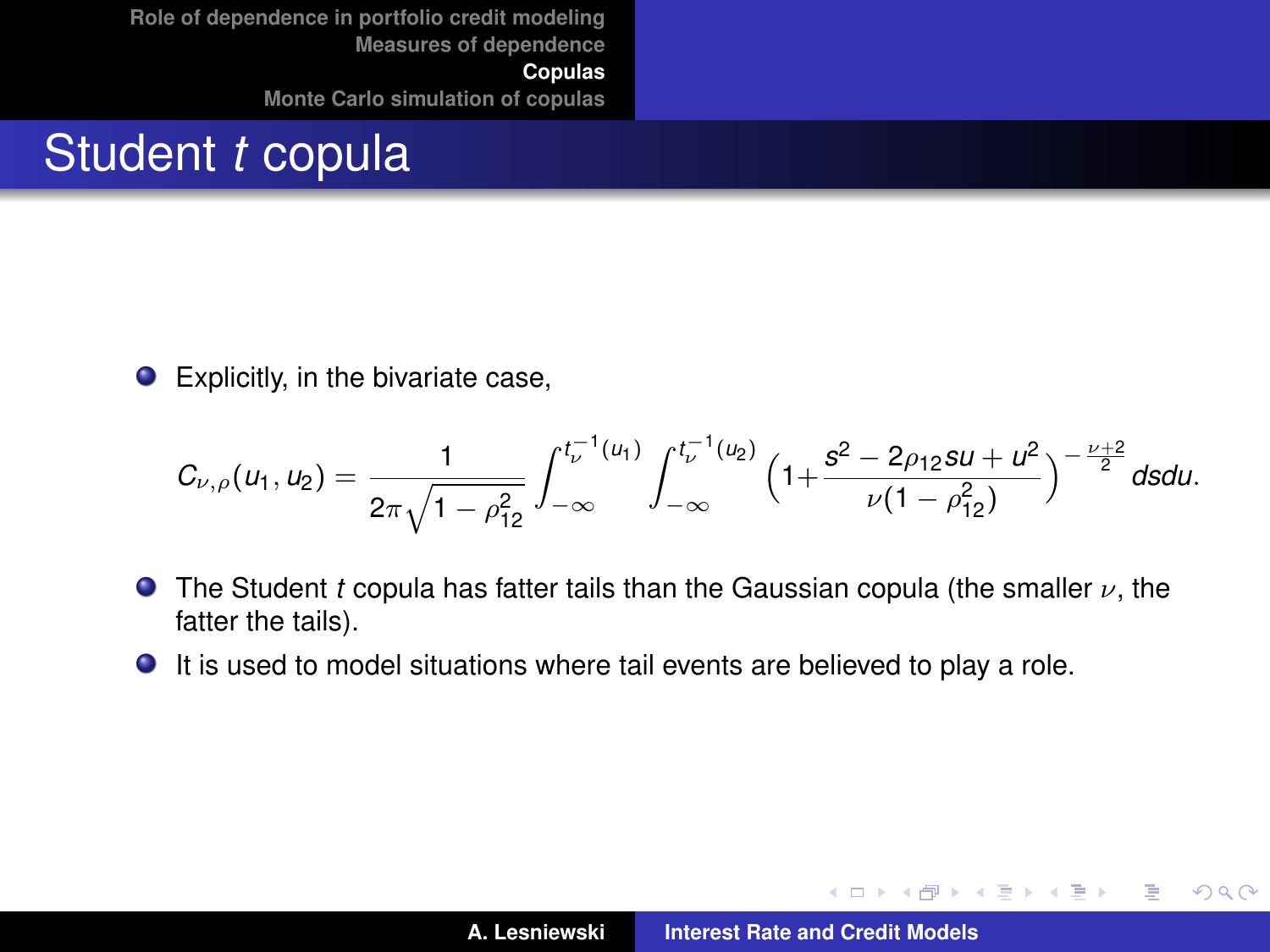# Student *t* copula

 $\bullet$ Explicitly, in the bivariate case,

$$
C_{\nu,\rho}(u_1,u_2)=\frac{1}{2\pi\sqrt{1-\rho_{12}^2}}\int_{-\infty}^{t_{\nu}^{-1}(u_1)}\int_{-\infty}^{t_{\nu}^{-1}(u_2)}\left(1+\frac{s^2-2\rho_{12}su+u^2}{\nu(1-\rho_{12}^2)}\right)^{-\frac{\nu+2}{2}}dsdu.
$$

- The Student *t* copula has fatter tails than the Gaussian copula (the smaller ν, the fatter the tails).
- It is used to model situations where tail events are believed to play a role.

イロメ イ部メ イヨメ イヨメー

 $299$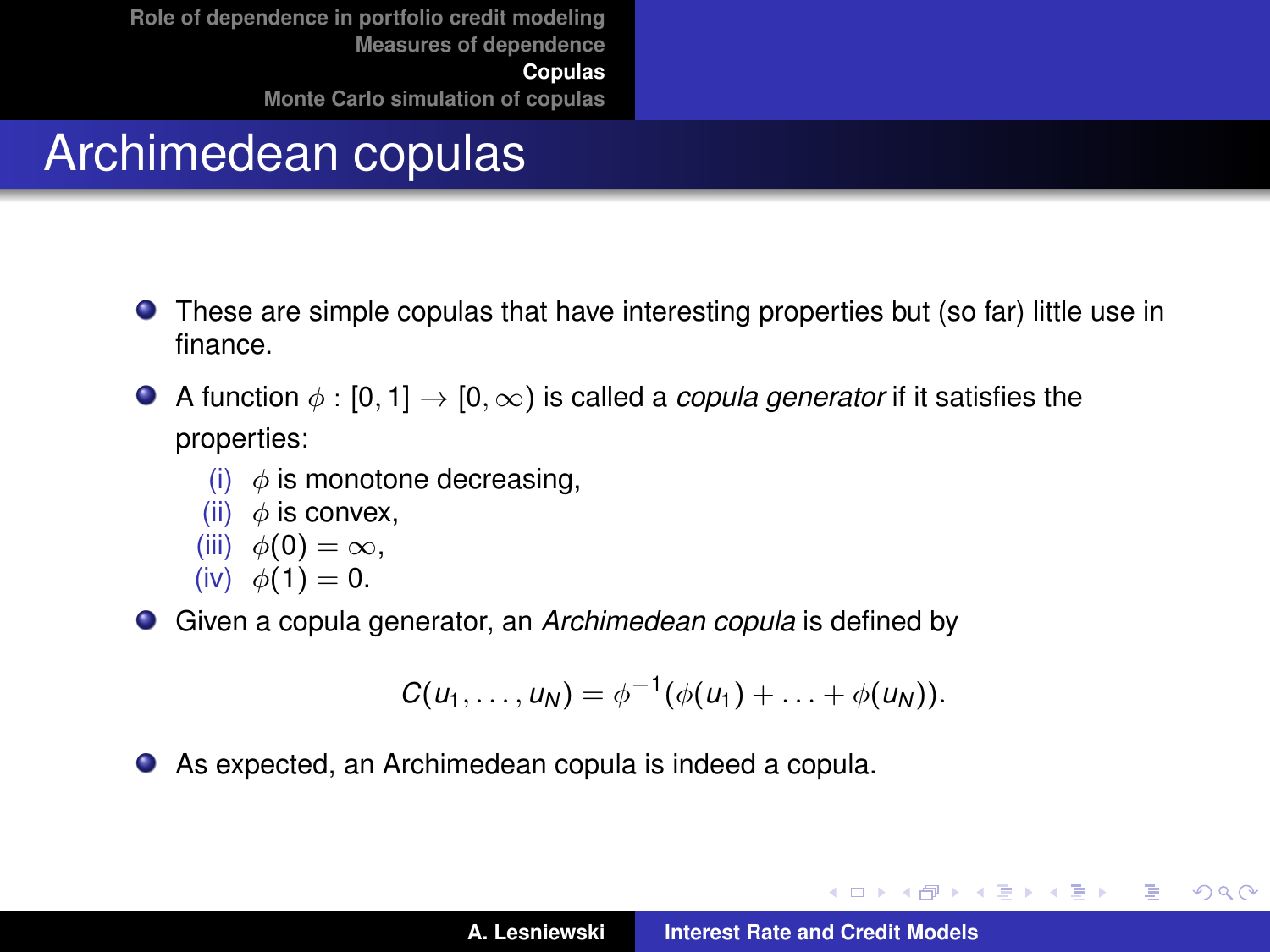# Archimedean copulas

- These are simple copulas that have interesting properties but (so far) little use in finance.
- A function  $\phi : [0, 1] \rightarrow [0, \infty)$  is called a *copula generator* if it satisfies the properties:
	- (i)  $\phi$  is monotone decreasing,
	- (ii)  $\phi$  is convex.
	- (iii)  $\phi(0) = \infty$ ,
	- (iv)  $\phi(1) = 0$ .

Given a copula generator, an *Archimedean copula* is defined by

$$
C(u_1,\ldots,u_N)=\phi^{-1}(\phi(u_1)+\ldots+\phi(u_N)).
$$

As expected, an Archimedean copula is indeed a copula.

イロメ イ団メ イヨメ イヨメー

 $299$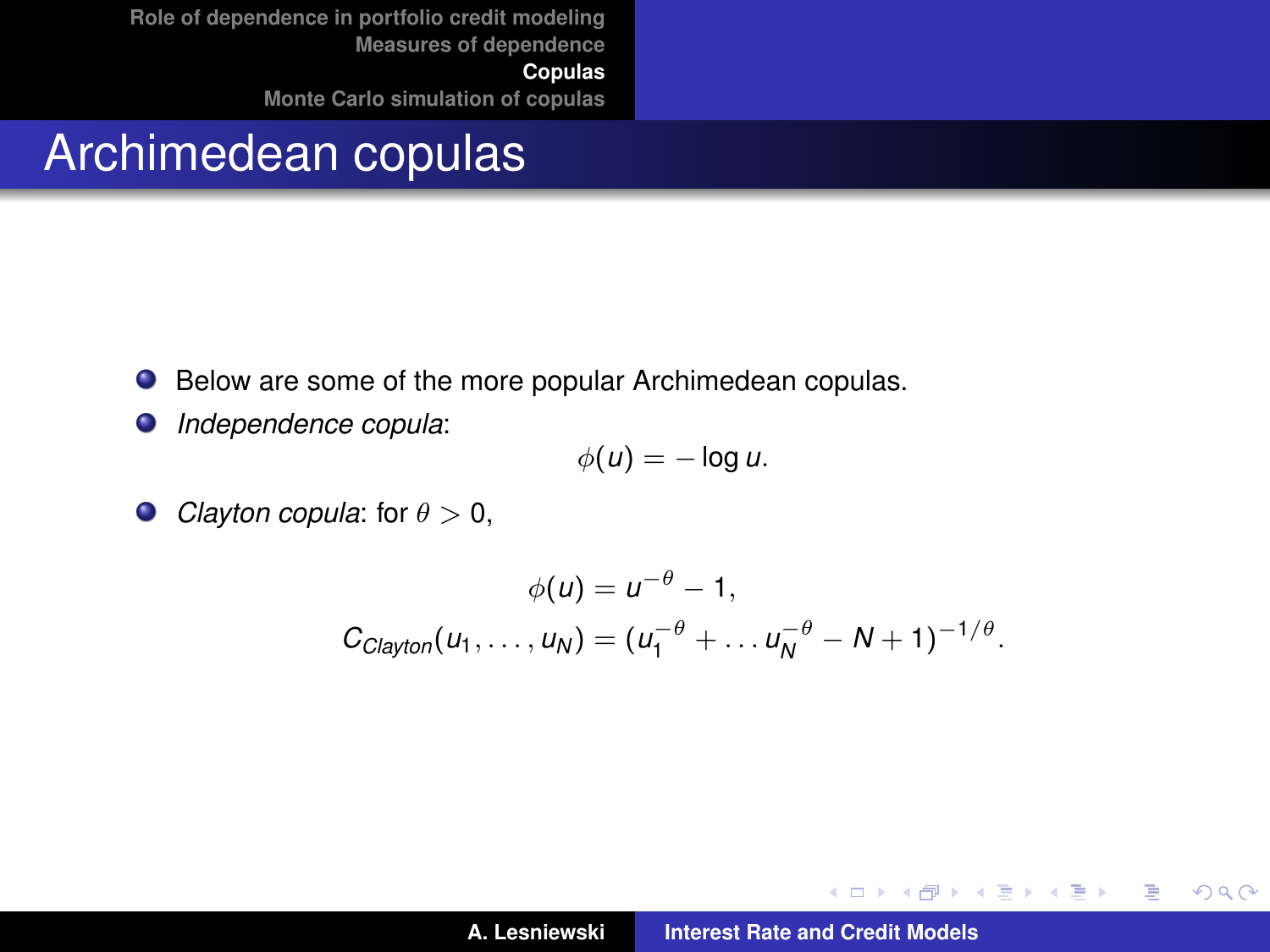#### Archimedean copulas

- Below are some of the more popular Archimedean copulas.  $\bullet$
- *Independence copula*:  $\bullet$

$$
\phi(u)=-\log u.
$$

 $\bullet$  *Clayton copula*: for  $\theta > 0$ ,

$$
\phi(u) = u^{-\theta} - 1,
$$
  
\n
$$
C_{Clayton}(u_1, ..., u_N) = (u_1^{-\theta} + ... u_N^{-\theta} - N + 1)^{-1/\theta}.
$$

イロメ イ部メ イヨメ イヨメー

 $299$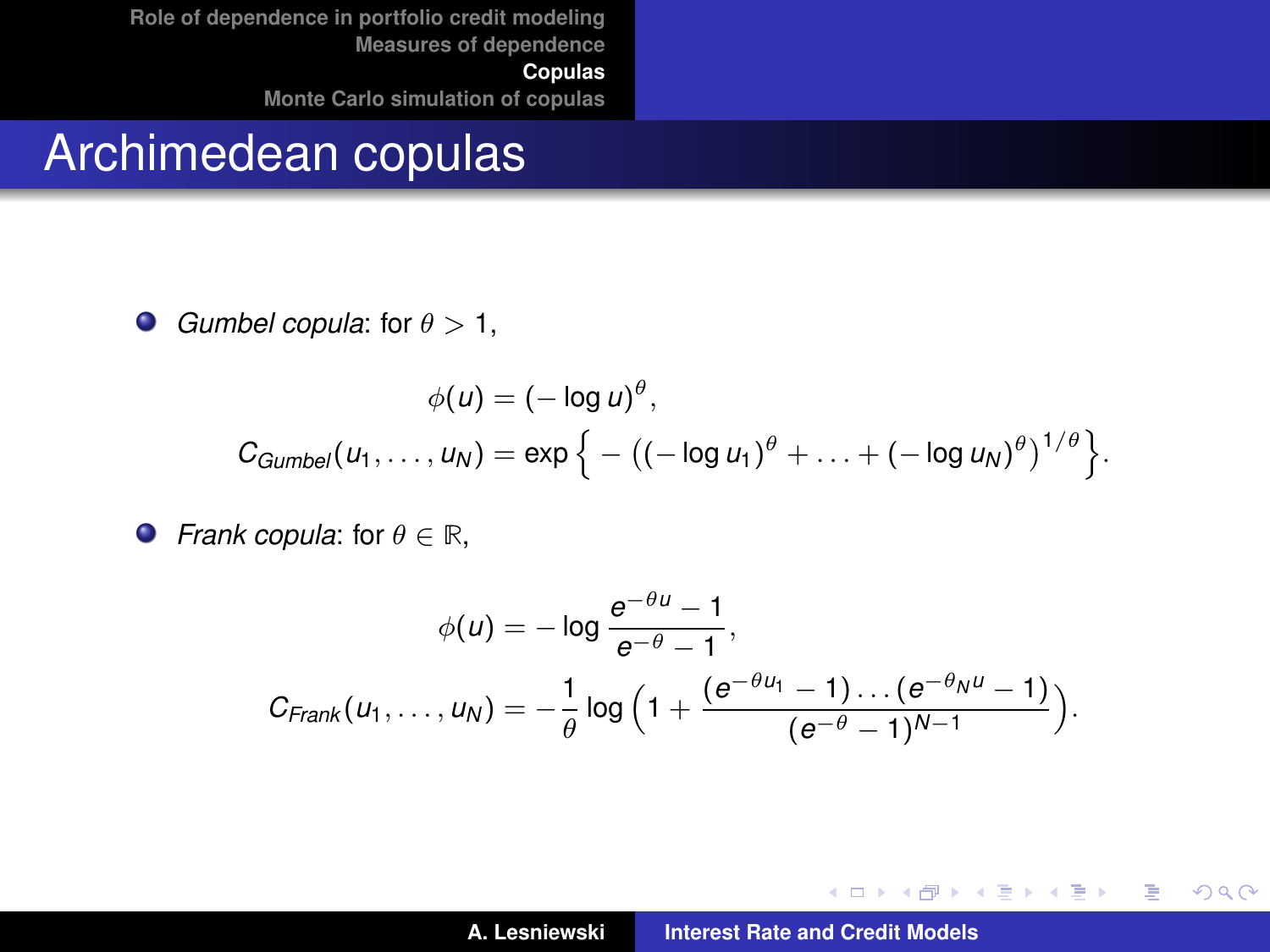#### Archimedean copulas

*Gumbel copula:* for  $\theta > 1$ ,  $\bullet$ 

$$
\phi(u) = (-\log u)^{\theta},
$$
  
\n
$$
C_{Gumbel}(u_1,\ldots,u_N) = \exp\left\{-\left((- \log u_1)^{\theta} + \ldots + (- \log u_N)^{\theta}\right)^{1/\theta}\right\}.
$$

 $\bullet$  *Frank copula: for*  $\theta \in \mathbb{R}$ *,* 

$$
\phi(u) = -\log \frac{e^{-\theta u} - 1}{e^{-\theta} - 1},
$$
  

$$
C_{Frank}(u_1, \ldots, u_N) = -\frac{1}{\theta} \log \Big( 1 + \frac{(e^{-\theta u_1} - 1) \ldots (e^{-\theta_N u} - 1)}{(e^{-\theta} - 1)^{N-1}} \Big).
$$

イロメ イ部メ イヨメ イヨメー

重

 $298$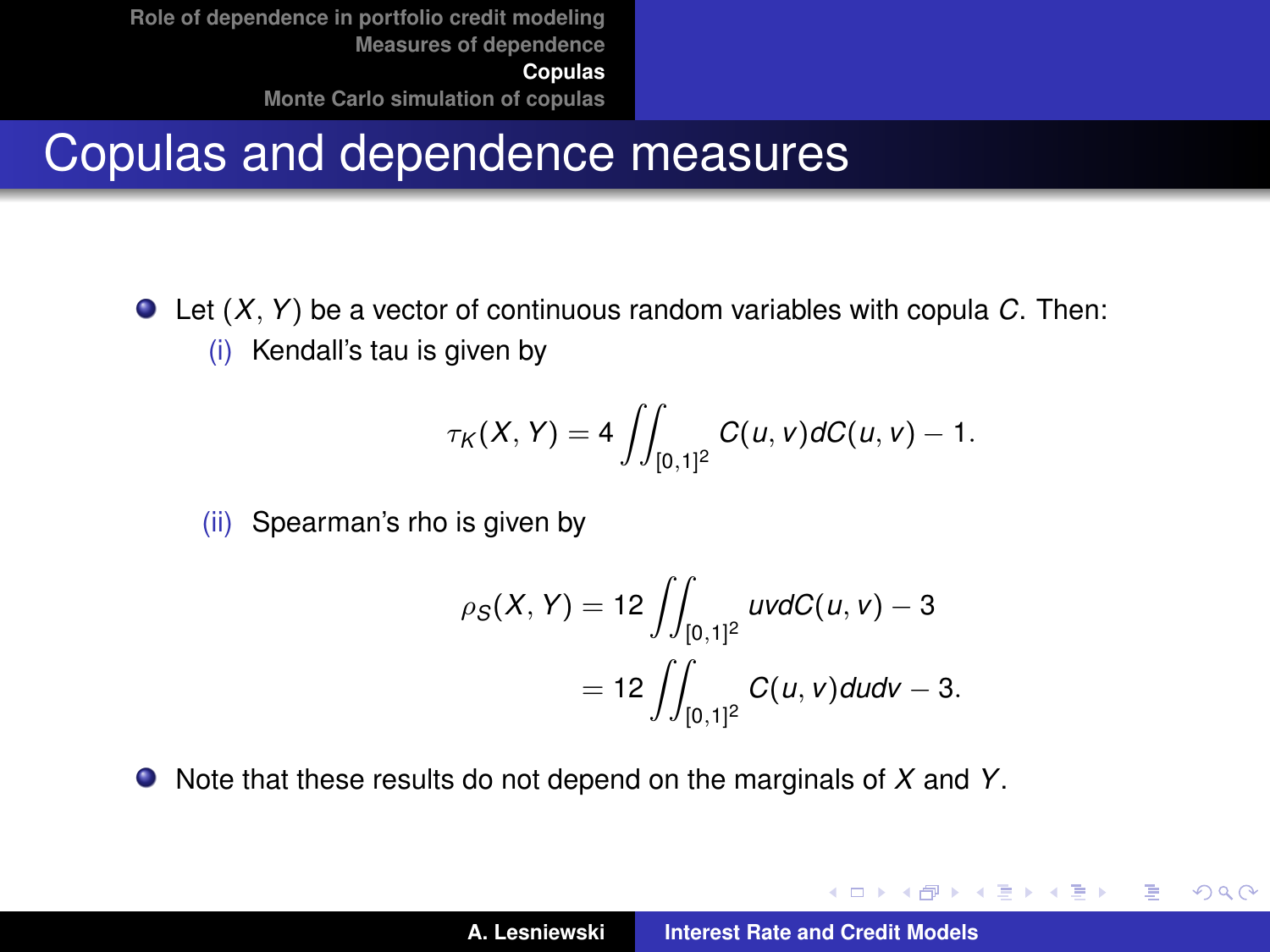#### Copulas and dependence measures

Let (*X*, *Y*) be a vector of continuous random variables with copula *C*. Then: (i) Kendall's tau is given by

$$
\tau_K(X,Y) = 4 \iint_{[0,1]^2} C(u,v) dC(u,v) - 1.
$$

(ii) Spearman's rho is given by

$$
\rho_S(X, Y) = 12 \iint_{[0,1]^2} uv dC(u, v) - 3
$$
  
= 12 
$$
\iint_{[0,1]^2} C(u, v) du dv - 3.
$$

Note that these results do not depend on the marginals of *X* and *Y*.

イロメ イ部メ イ君メ イ君メー

 $2Q$ 重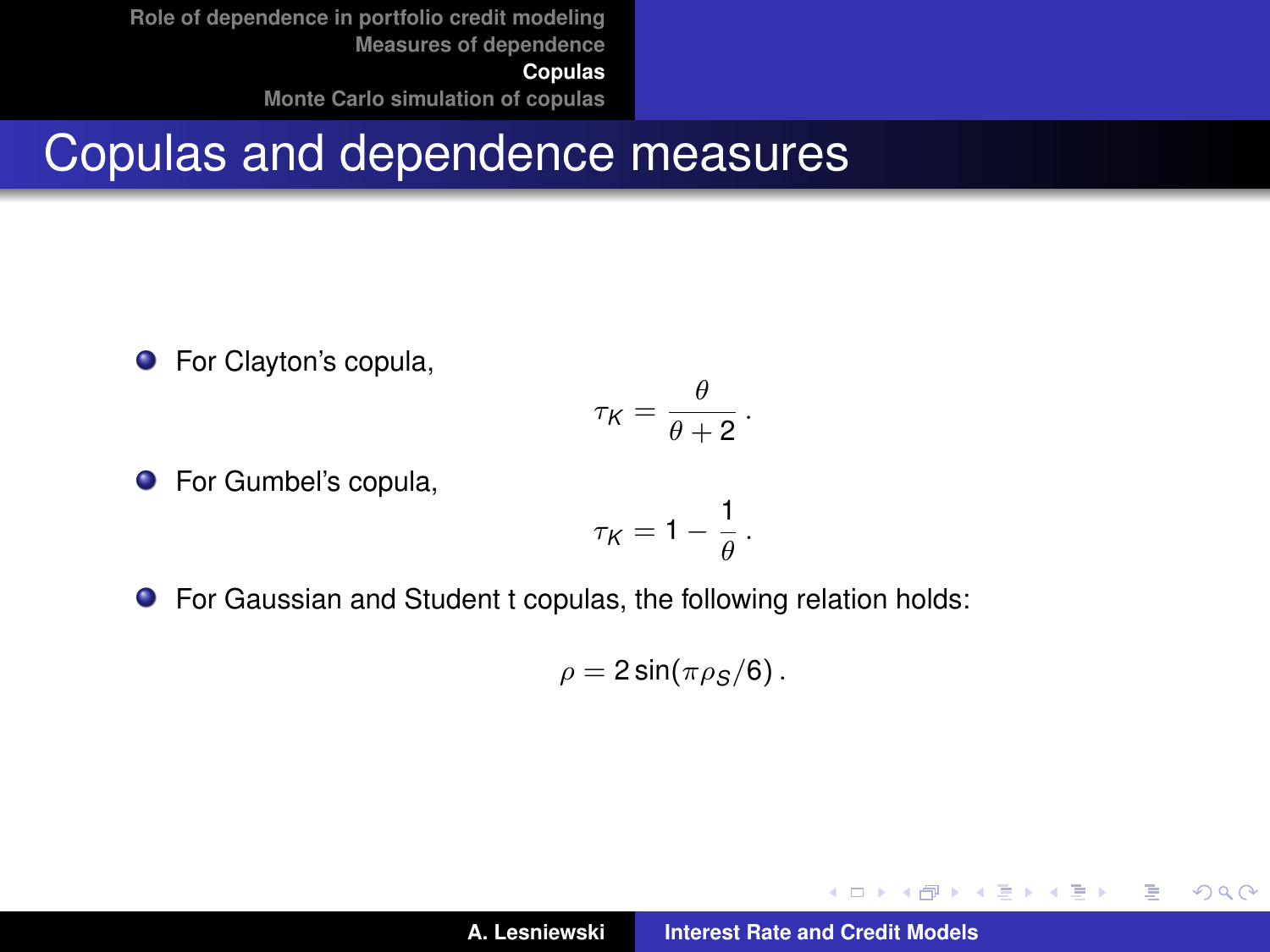**[Role of dependence in portfolio credit modeling](#page-2-0) [Measures of dependence](#page-6-0) [Copulas](#page-10-0)**

**[Monte Carlo simulation of copulas](#page-34-0)**

#### Copulas and dependence measures

**•** For Clayton's copula,

$$
\tau_K = \frac{\theta}{\theta+2} \, .
$$

**•** For Gumbel's copula,

$$
\tau_K=1-\frac{1}{\theta}\,.
$$

For Gaussian and Student t copulas, the following relation holds:

$$
\rho=2\sin(\pi\rho_S/6)\,.
$$

イロメ イ部メ イ君メ イ君メー

 $299$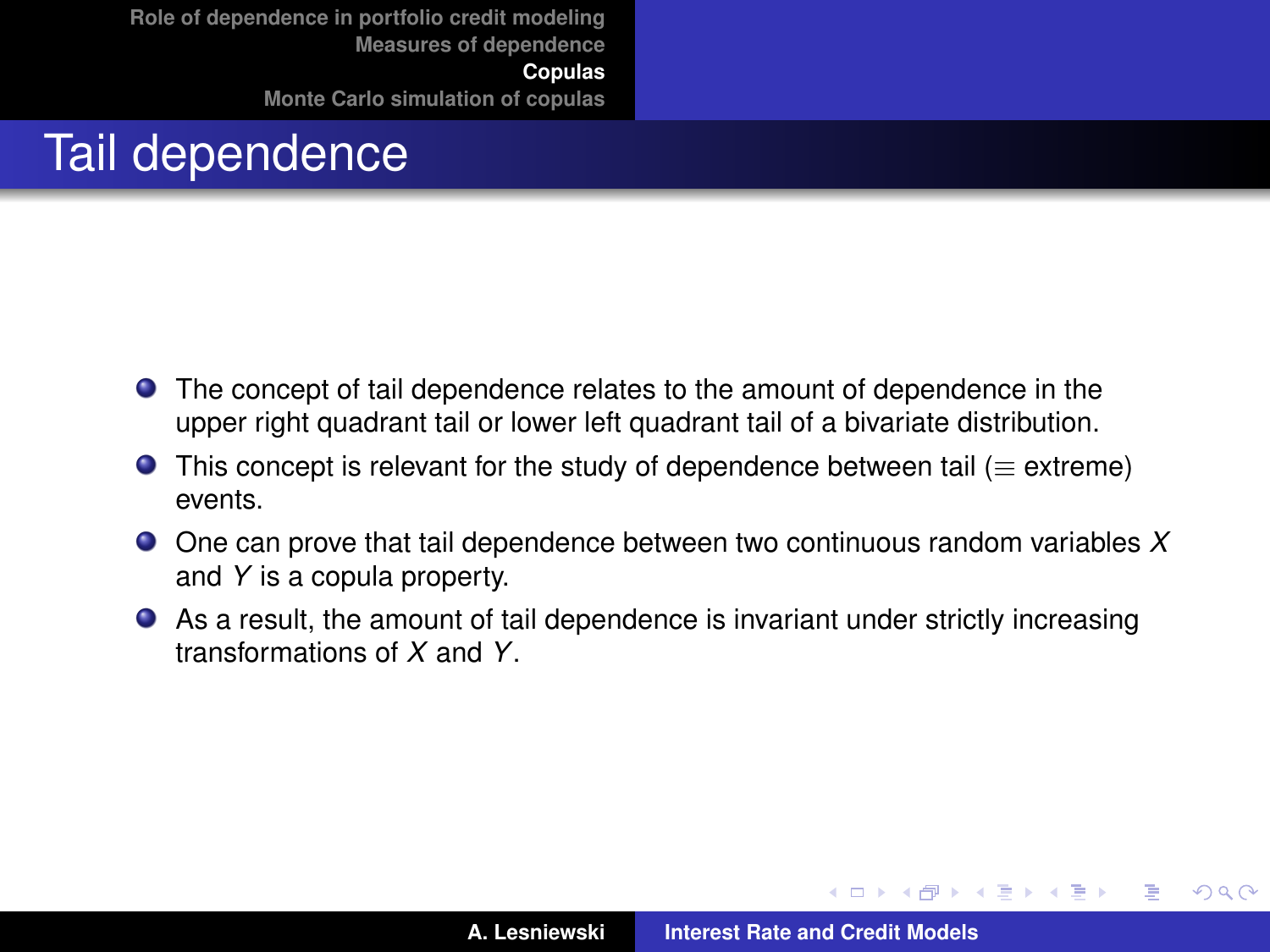# Tail dependence

- The concept of tail dependence relates to the amount of dependence in the upper right quadrant tail or lower left quadrant tail of a bivariate distribution.
- **O** This concept is relevant for the study of dependence between tail ( $\equiv$  extreme) events.
- One can prove that tail dependence between two continuous random variables *X* and *Y* is a copula property.
- As a result, the amount of tail dependence is invariant under strictly increasing transformations of *X* and *Y*.

 $\overline{AB}$   $\rightarrow$   $\overline{AB}$   $\rightarrow$   $\overline{AB}$   $\rightarrow$ 

 $QQ$ 

Þ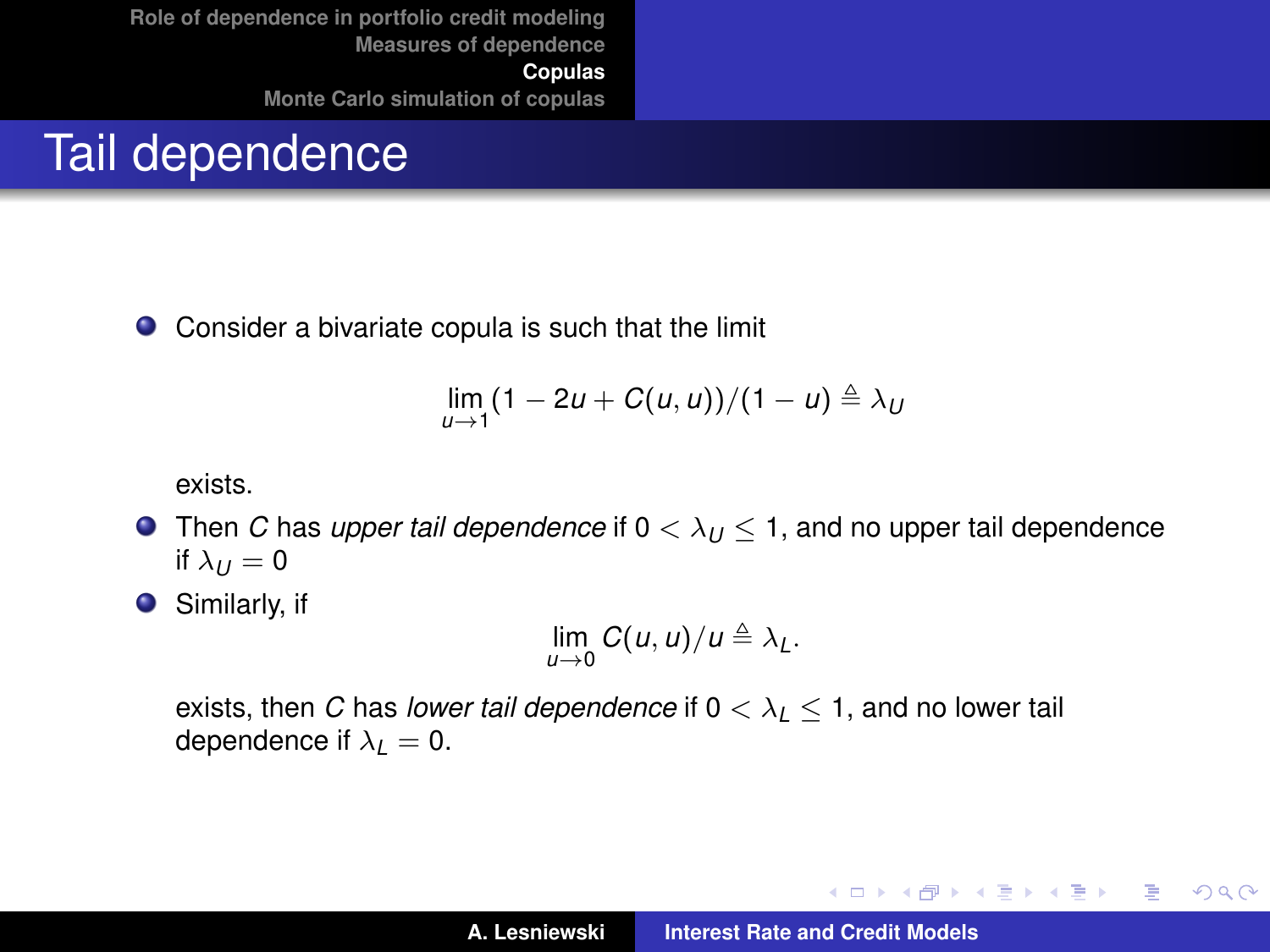### Tail dependence

Consider a bivariate copula is such that the limit  $\bullet$ 

$$
\lim_{u\to 1}(1-2u+C(u,u))/(1-u)\triangleq \lambda_U
$$

exists.

- **Then** *C* has *upper tail dependence* if  $0 < \lambda_{U} < 1$ , and no upper tail dependence if  $\lambda_U = 0$
- **O** Similarly, if

$$
\lim_{u\to 0} C(u,u)/u \triangleq \lambda_L.
$$

exists, then *C* has *lower tail dependence* if  $0 < \lambda_1 < 1$ , and no lower tail dependence if  $\lambda_1 = 0$ .

イロメ イ部メ イ君メ イ君メー

 $299$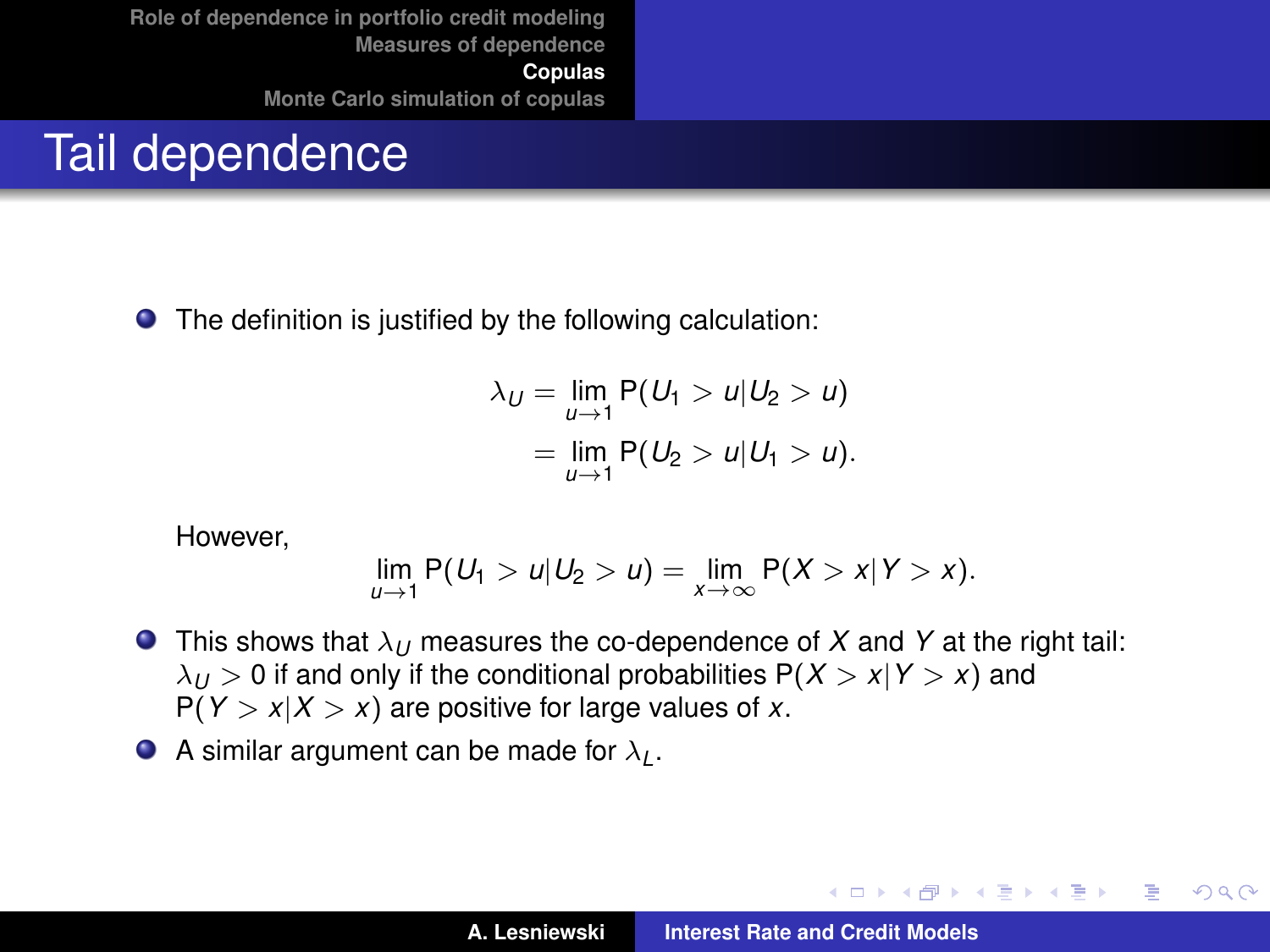#### Tail dependence

The definition is justified by the following calculation:

$$
\lambda_U = \lim_{u \to 1} P(U_1 > u | U_2 > u)
$$
  
= 
$$
\lim_{u \to 1} P(U_2 > u | U_1 > u).
$$

However,

$$
\lim_{u\to 1} P(U_1>u|U_2>u)=\lim_{x\to\infty} P(X>x|Y>x).
$$

- **This shows that**  $\lambda_U$  **measures the co-dependence of X and Y at the right tail:**  $\lambda_U > 0$  if and only if the conditional probabilities  $P(X > x | Y > x)$  and  $P(Y > x | X > x)$  are positive for large values of *x*.
- A similar argument can be made for  $\lambda_L$ .

イロメ イ部メ イヨメ イヨメー

 $299$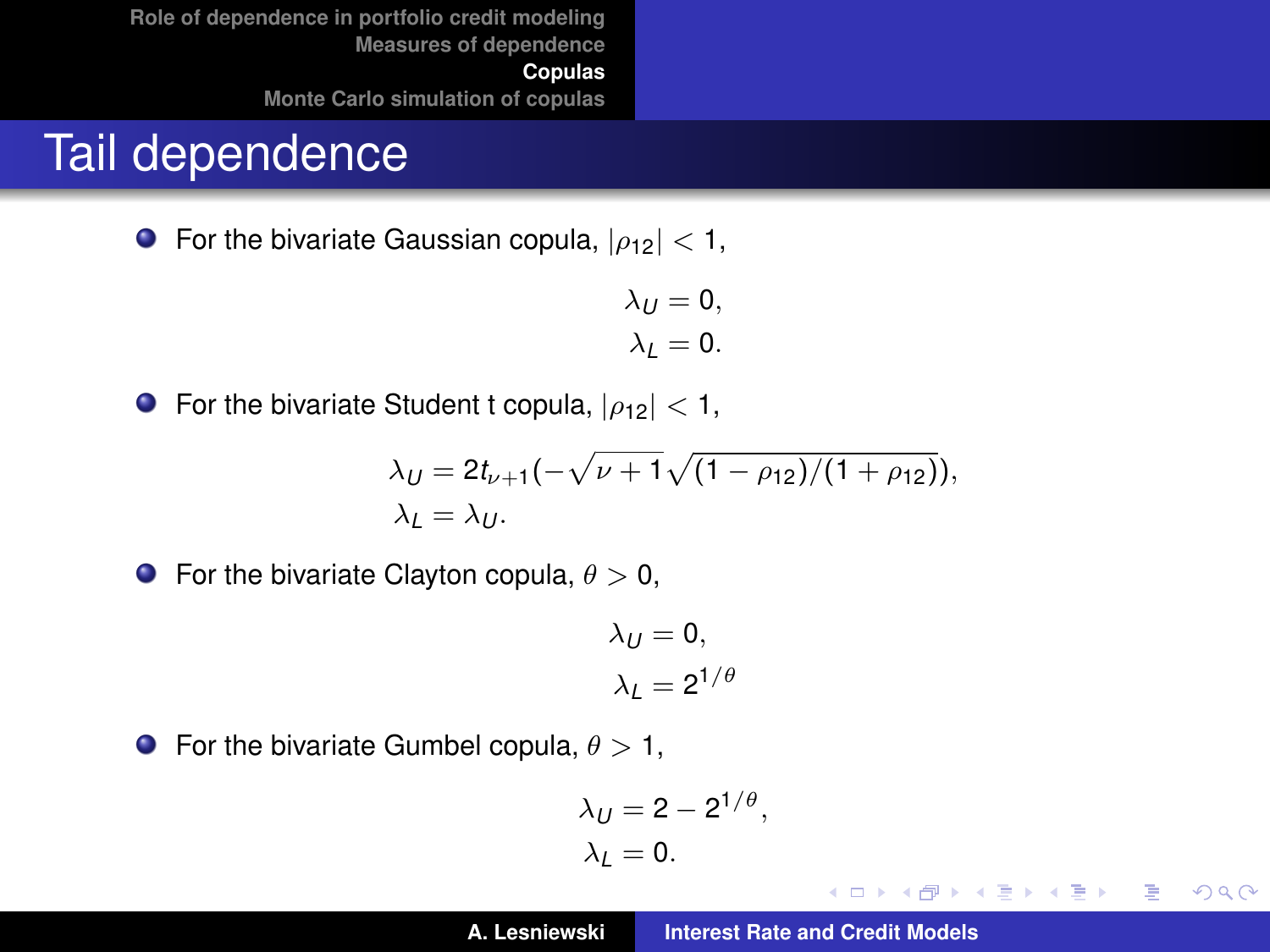#### Tail dependence

**•** For the bivariate Gaussian copula,  $|\rho_{12}| < 1$ ,

$$
\lambda_U = 0,
$$
  

$$
\lambda_L = 0.
$$

**•** For the bivariate Student t copula,  $|\rho_{12}| < 1$ ,

$$
\lambda_U = 2t_{\nu+1}(-\sqrt{\nu+1}\sqrt{(1-\rho_{12})/(1+\rho_{12})}),
$$
  
\n
$$
\lambda_L = \lambda_U.
$$

**•** For the bivariate Clayton copula,  $\theta > 0$ ,

$$
\lambda_U = 0,
$$
  

$$
\lambda_L = 2^{1/\theta}
$$

**•** For the bivariate Gumbel copula,  $\theta > 1$ ,

$$
\lambda_U = 2 - 2^{1/\theta},
$$
  

$$
\lambda_L = 0.
$$

**A. Lesniewski [Interest Rate and Credit Models](#page-0-0)**

イロメ イ部メ イヨメ イヨメー

 $299$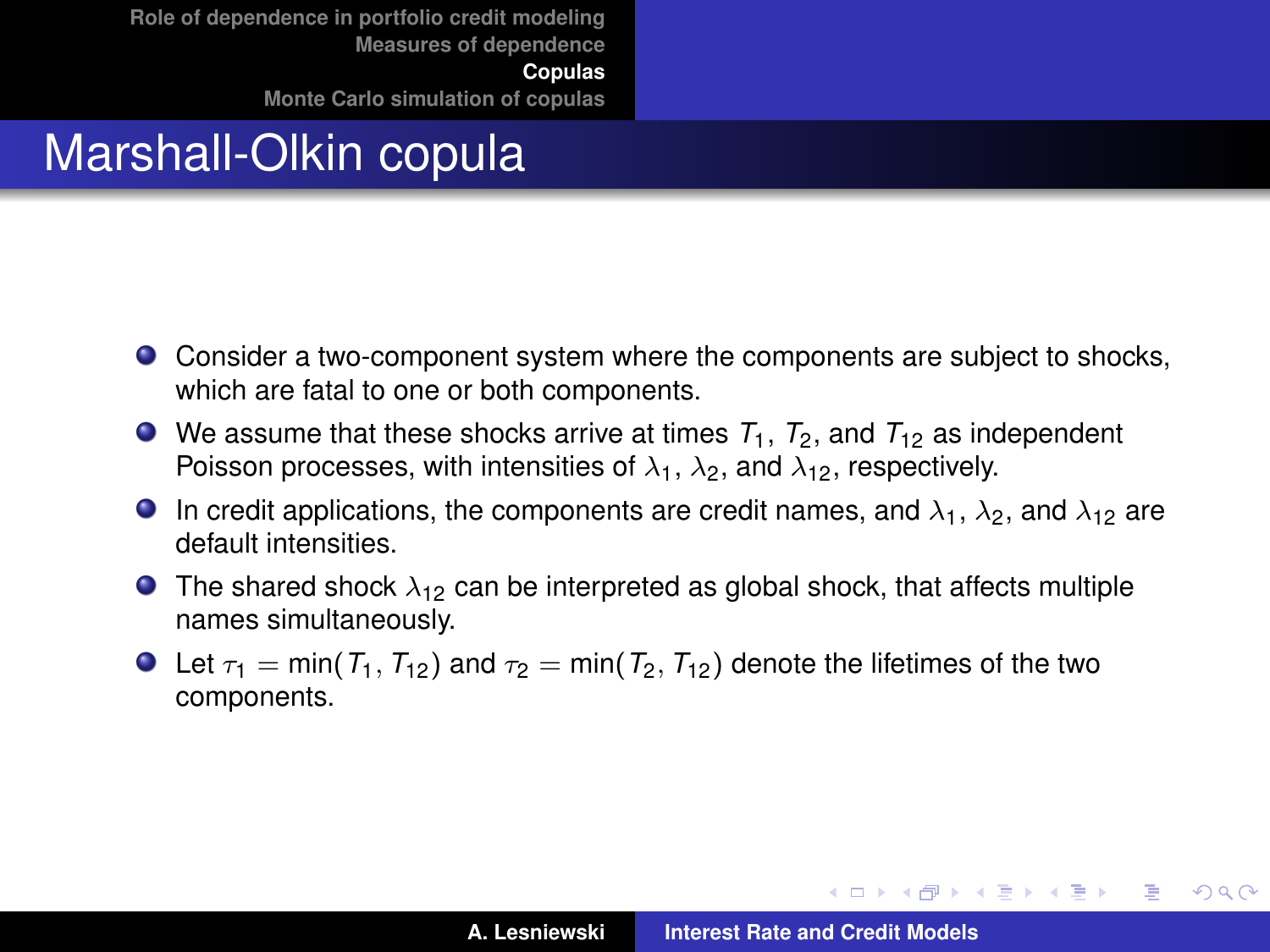# Marshall-Olkin copula

- Consider a two-component system where the components are subject to shocks, which are fatal to one or both components.
- $\bullet$  We assume that these shocks arrive at times  $T_1$ ,  $T_2$ , and  $T_{12}$  as independent Poisson processes, with intensities of  $\lambda_1$ ,  $\lambda_2$ , and  $\lambda_{12}$ , respectively.
- **In** credit applications, the components are credit names, and  $\lambda_1$ ,  $\lambda_2$ , and  $\lambda_{12}$  are default intensities.
- **The shared shock**  $\lambda_{12}$  can be interpreted as global shock, that affects multiple names simultaneously.
- **O** Let  $\tau_1$  = min( $T_1$ ,  $T_{12}$ ) and  $\tau_2$  = min( $T_2$ ,  $T_{12}$ ) denote the lifetimes of the two components.

イロメ イ団メ イヨメ イヨメー

÷.

 $298$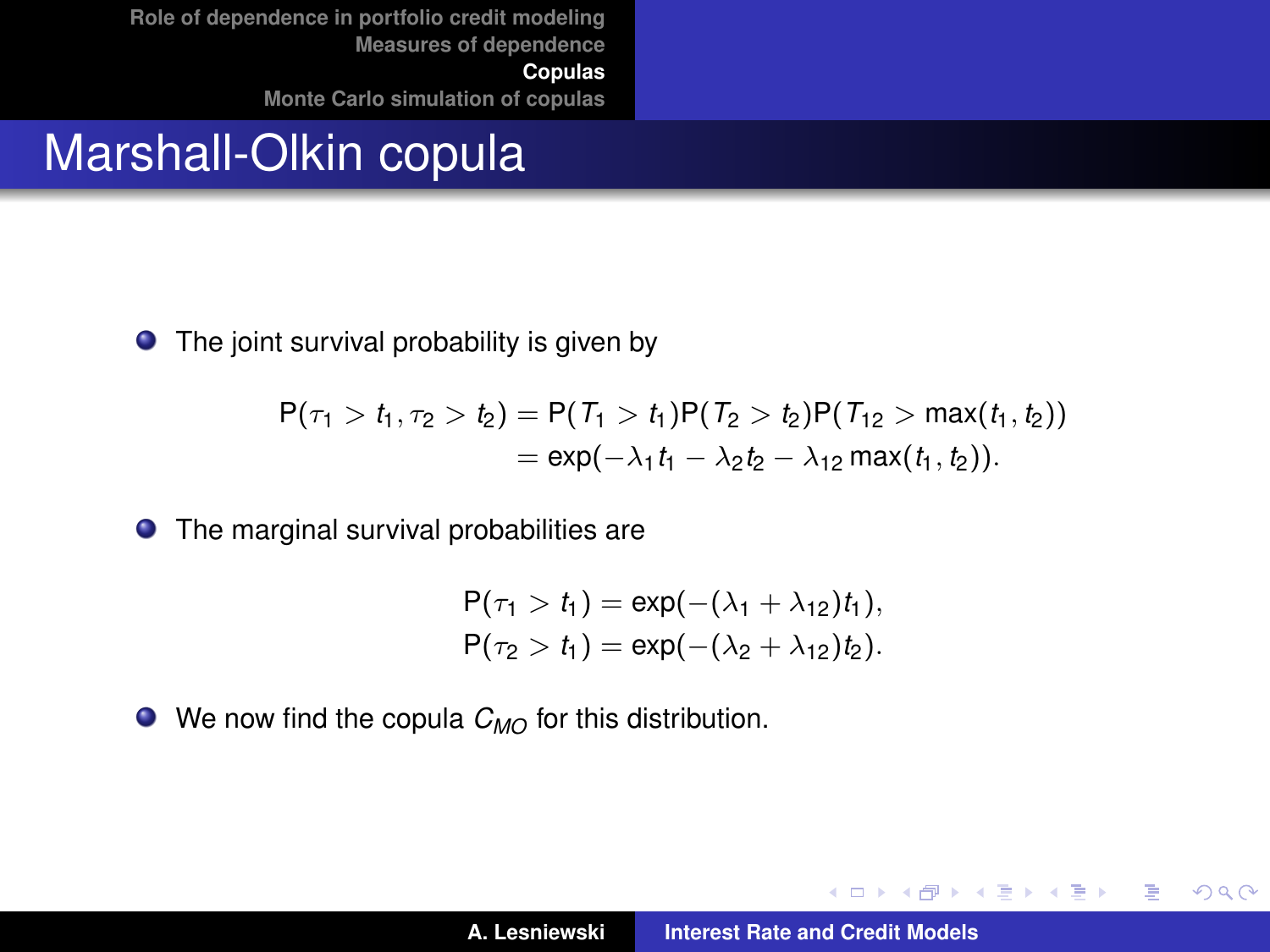#### Marshall-Olkin copula

 $\bullet$  The joint survival probability is given by

$$
P(\tau_1 > t_1, \tau_2 > t_2) = P(T_1 > t_1)P(T_2 > t_2)P(T_{12} > max(t_1, t_2))
$$
  
= exp(- $\lambda_1 t_1 - \lambda_2 t_2 - \lambda_{12} max(t_1, t_2)$ ).

The marginal survival probabilities are

$$
P(\tau_1 > t_1) = \exp(-(\lambda_1 + \lambda_{12})t_1),
$$
  
 
$$
P(\tau_2 > t_1) = \exp(-(\lambda_2 + \lambda_{12})t_2).
$$

● We now find the copula  $C_{MO}$  for this distribution.

K ロ ▶ K 御 ▶ K 唐 ▶ K 唐 ▶ .

 $299$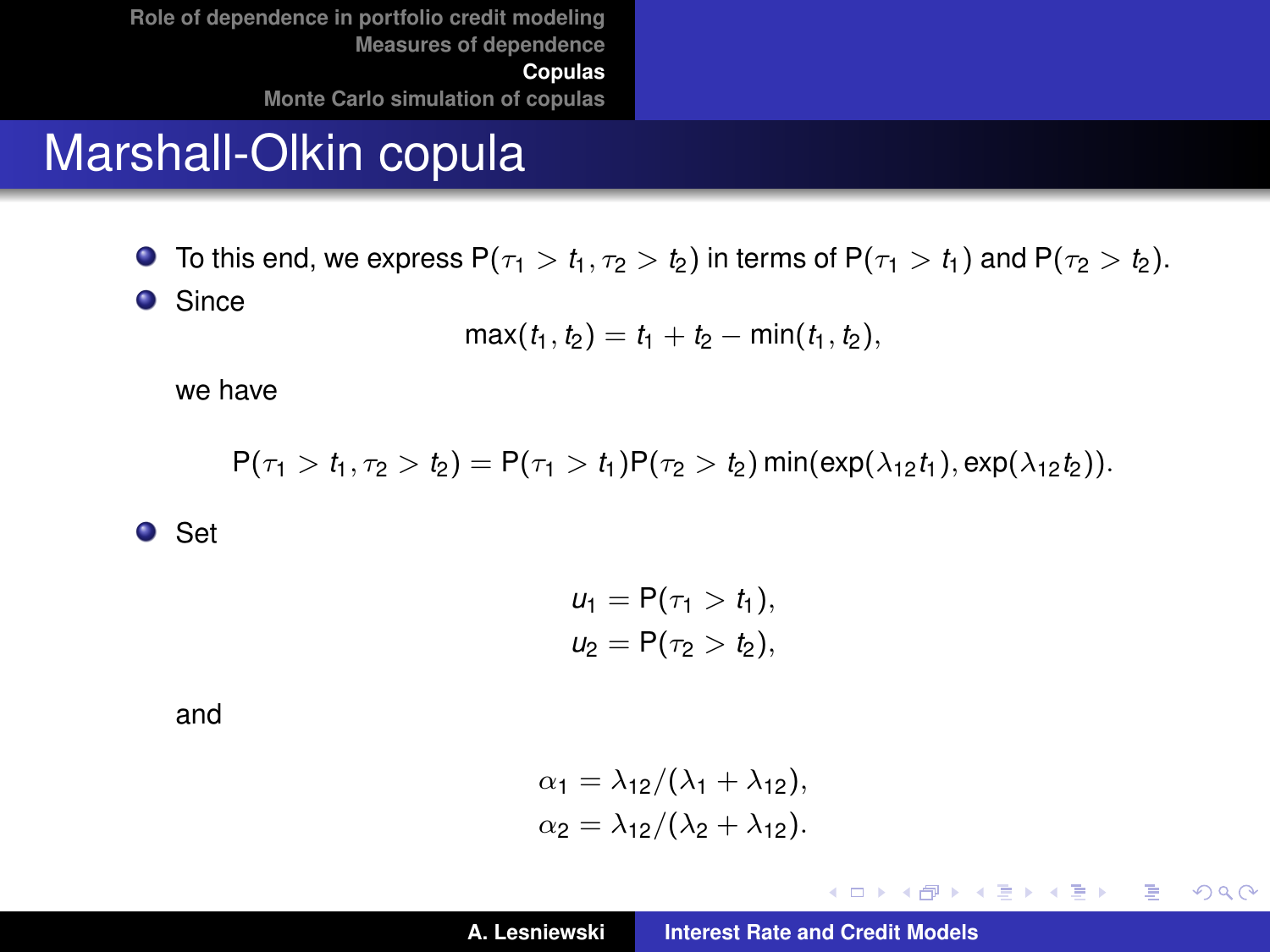#### Marshall-Olkin copula

**O** To this end, we express  $P(\tau_1 > t_1, \tau_2 > t_2)$  in terms of  $P(\tau_1 > t_1)$  and  $P(\tau_2 > t_2)$ .

**•** Since

$$
\max(t_1, t_2) = t_1 + t_2 - \min(t_1, t_2),
$$

we have

 $P(\tau_1 > t_1, \tau_2 > t_2) = P(\tau_1 > t_1)P(\tau_2 > t_2) \min(\exp(\lambda_{12}t_1), \exp(\lambda_{12}t_2)).$ 

**O** Set

$$
u_1 = P(\tau_1 > t_1),
$$
  

$$
u_2 = P(\tau_2 > t_2),
$$

and

$$
\alpha_1 = \lambda_{12}/(\lambda_1 + \lambda_{12}),
$$
  
\n
$$
\alpha_2 = \lambda_{12}/(\lambda_2 + \lambda_{12}).
$$

イロメ イ団メ イヨメ イヨメー

 $299$ 重。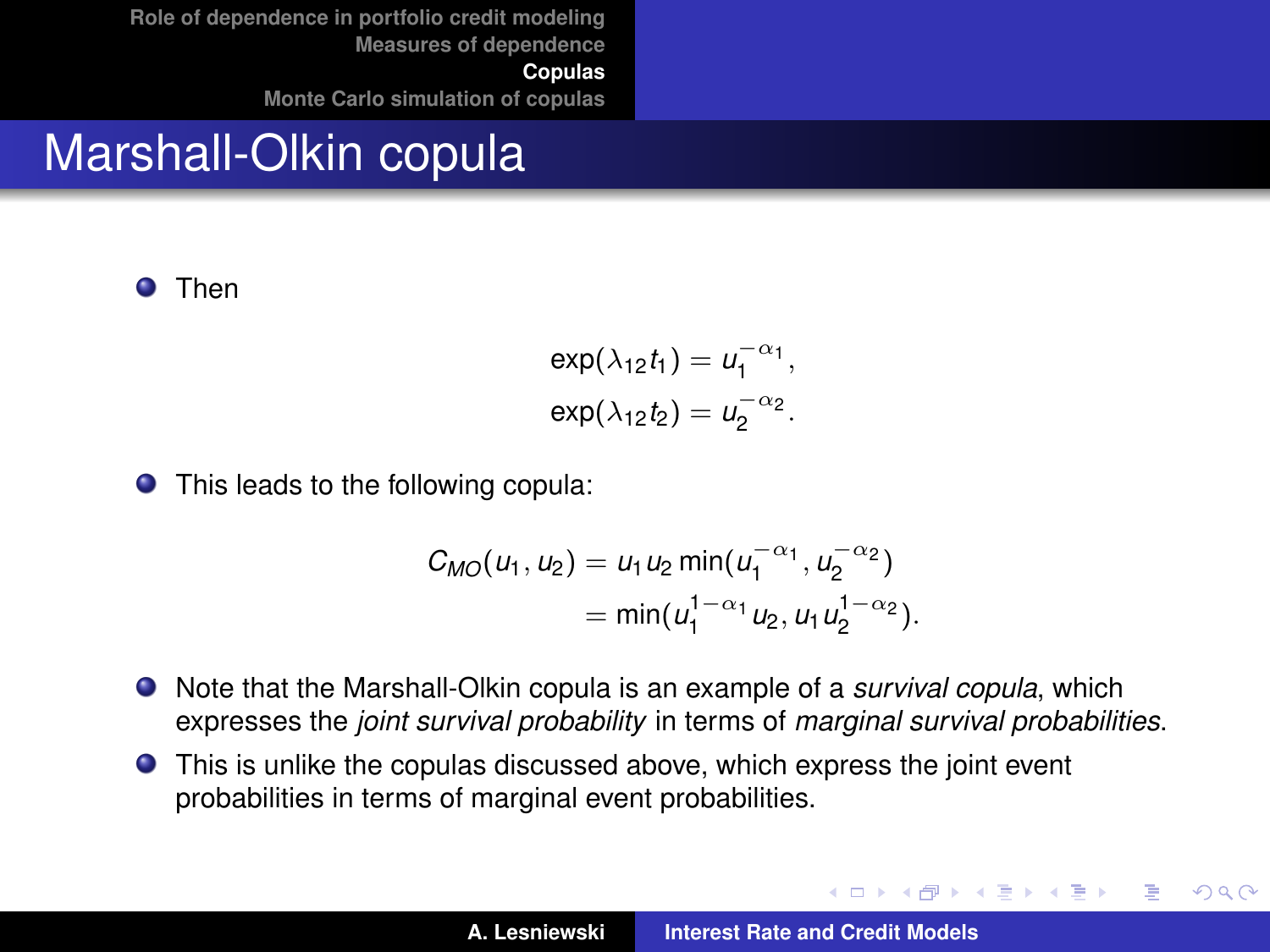# Marshall-Olkin copula

**O** Then

$$
\exp(\lambda_{12}t_1) = u_1^{-\alpha_1},
$$
  

$$
\exp(\lambda_{12}t_2) = u_2^{-\alpha_2}.
$$

**•** This leads to the following copula:

$$
C_{MO}(u_1, u_2) = u_1 u_2 \min(u_1^{-\alpha_1}, u_2^{-\alpha_2})
$$
  
=  $\min(u_1^{1-\alpha_1} u_2, u_1 u_2^{1-\alpha_2}).$ 

- Note that the Marshall-Olkin copula is an example of a *survival copula*, which expresses the *joint survival probability* in terms of *marginal survival probabilities*.
- This is unlike the copulas discussed above, which express the joint event probabilities in terms of marginal event probabilities.

(ロトス個) (運) (運)

 $299$ 

Þ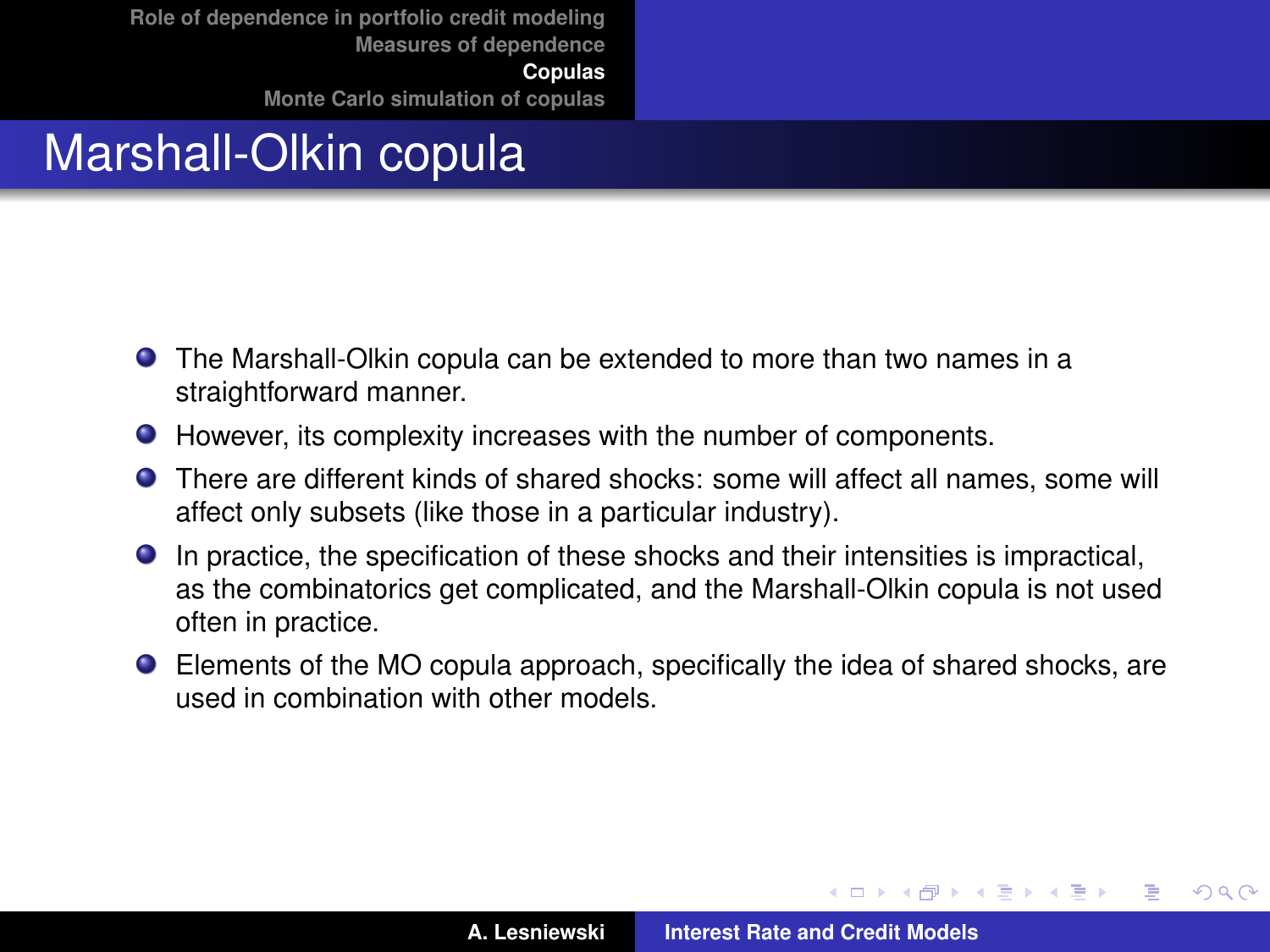# Marshall-Olkin copula

- The Marshall-Olkin copula can be extended to more than two names in a straightforward manner.
- However, its complexity increases with the number of components.
- There are different kinds of shared shocks: some will affect all names, some will affect only subsets (like those in a particular industry).
- In practice, the specification of these shocks and their intensities is impractical, as the combinatorics get complicated, and the Marshall-Olkin copula is not used often in practice.
- Elements of the MO copula approach, specifically the idea of shared shocks, are used in combination with other models.

(ロトス個) (運) (運)

 $299$ 

Þ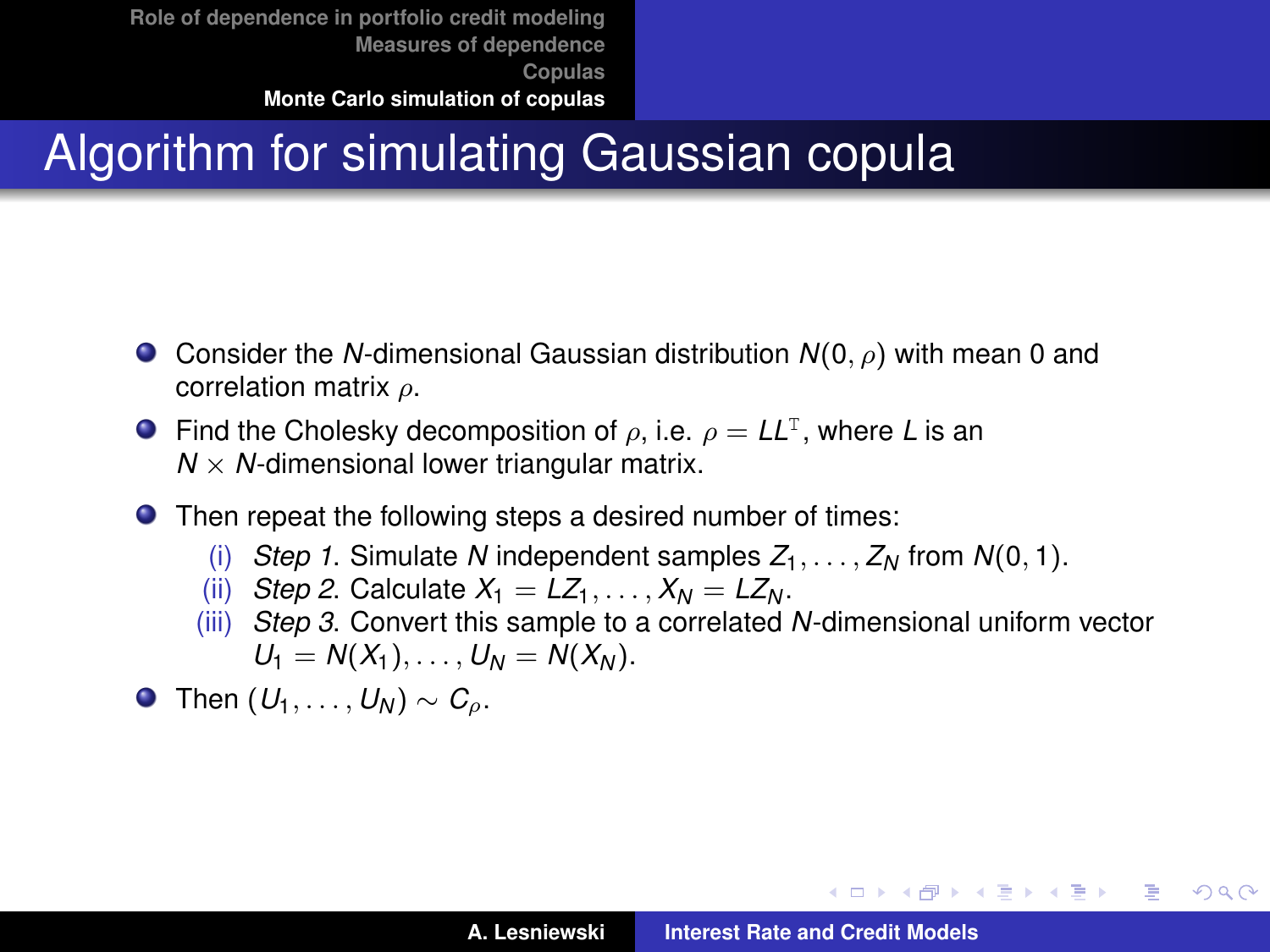# Algorithm for simulating Gaussian copula

- Consider the *N*-dimensional Gaussian distribution *N*(0, ρ) with mean 0 and correlation matrix ρ.
- Find the Cholesky decomposition of  $\rho$ , i.e.  $\rho = LL^{T}$ , where *L* is an  $N \times N$ -dimensional lower triangular matrix.
- Then repeat the following steps a desired number of times:
	- (i) *Step 1*. Simulate *N* independent samples  $Z_1, \ldots, Z_N$  from  $N(0, 1)$ .
	- (ii) *Step 2.* Calculate  $X_1 = LZ_1, \ldots, X_N = LZ_N$ .
	- (iii) *Step 3*. Convert this sample to a correlated *N*-dimensional uniform vector  $U_1 = N(X_1), \ldots, U_N = N(X_N).$
- **O** Then  $(U_1, \ldots, U_N)$  ∼  $C_o$ .

K ロ ⊁ K 伊 ⊁ K 君 ⊁ K 君 ⊁ …

÷.

<span id="page-34-0"></span> $298$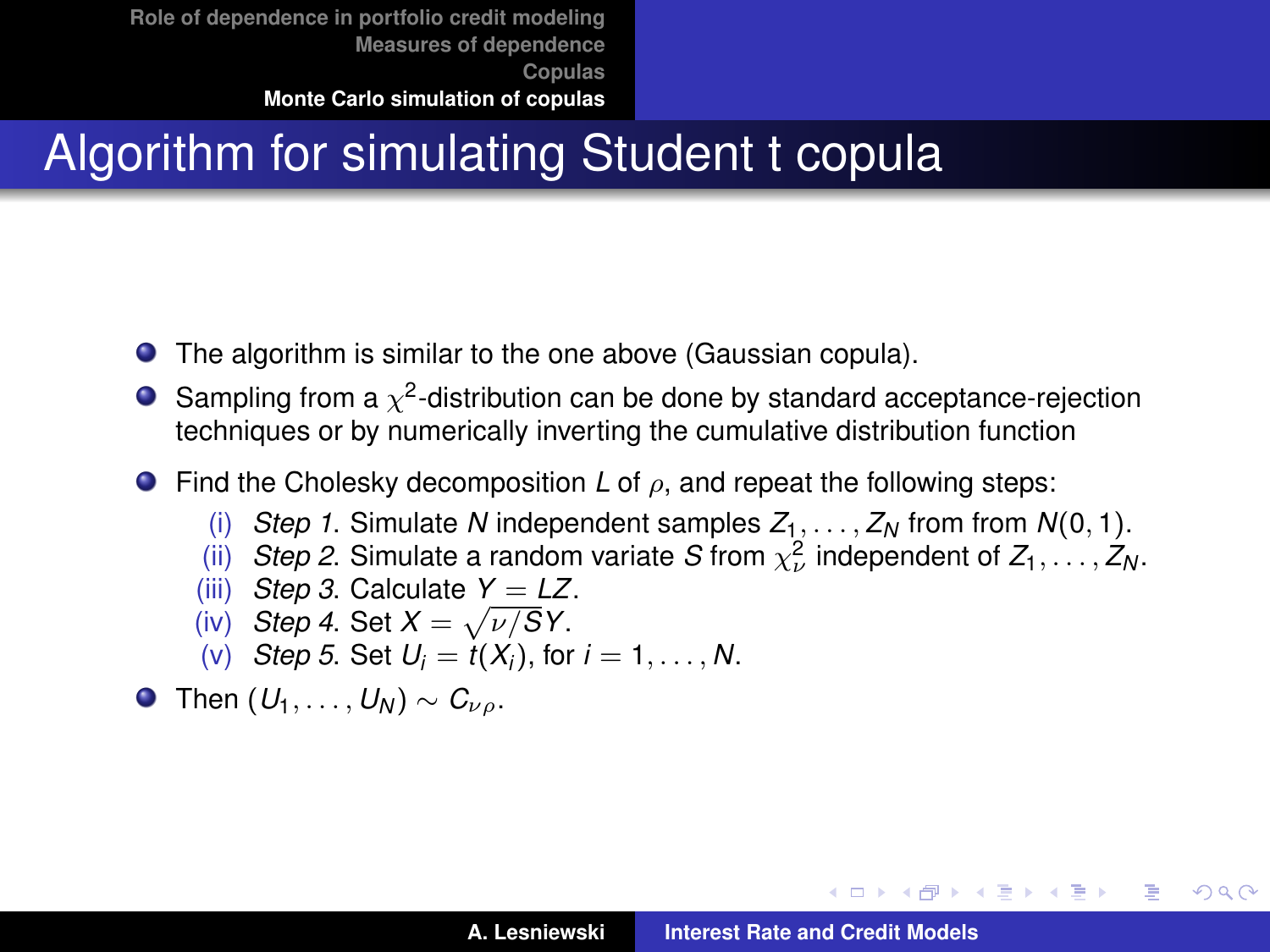# Algorithm for simulating Student t copula

- The algorithm is similar to the one above (Gaussian copula).  $\bullet$
- Sampling from a  $\chi^2$ -distribution can be done by standard acceptance-rejection techniques or by numerically inverting the cumulative distribution function
- Find the Cholesky decomposition *L* of ρ, and repeat the following steps:
	- (i) *Step 1*. Simulate *N* independent samples  $Z_1, \ldots, Z_N$  from from  $N(0, 1)$ .
	- (ii) *Step 2.* Simulate a random variate *S* from  $\chi^2_\nu$  independent of  $Z_1, \ldots, Z_N$ .
	- (iii) *Step 3.* Calculate  $Y = LZ$ .
	- (iv) *Step 4*. Set  $X = \sqrt{\nu/S}Y$ .
	- (v) *Step 5*. Set  $U_i = t(X_i)$ , for  $i = 1, \ldots, N$ .
- **O** Then  $(U_1, \ldots, U_N) \sim C_{V_Q}$ .

イロメ イ団メ イヨメ イヨメー

B

 $298$